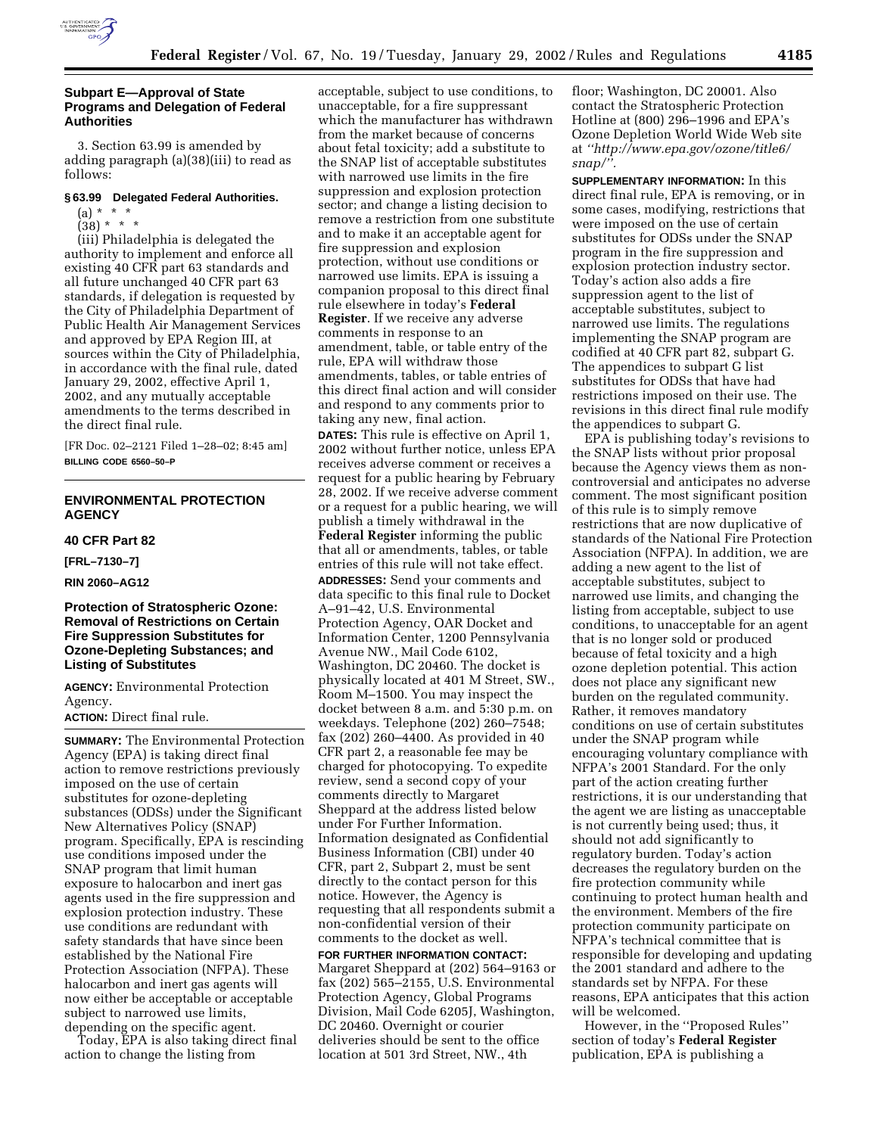

#### **Subpart E—Approval of State Programs and Delegation of Federal Authorities**

3. Section 63.99 is amended by adding paragraph (a)(38)(iii) to read as follows:

# **§ 63.99 Delegated Federal Authorities.**

 $(a) * * * *$ 

 $(38) * * * *$ 

(iii) Philadelphia is delegated the authority to implement and enforce all existing 40 CFR part 63 standards and all future unchanged 40 CFR part 63 standards, if delegation is requested by the City of Philadelphia Department of Public Health Air Management Services and approved by EPA Region III, at sources within the City of Philadelphia, in accordance with the final rule, dated January 29, 2002, effective April 1, 2002, and any mutually acceptable amendments to the terms described in the direct final rule.

[FR Doc. 02–2121 Filed 1–28–02; 8:45 am] **BILLING CODE 6560–50–P**

# **ENVIRONMENTAL PROTECTION AGENCY**

#### **40 CFR Part 82**

**[FRL–7130–7]**

**RIN 2060–AG12**

# **Protection of Stratospheric Ozone: Removal of Restrictions on Certain Fire Suppression Substitutes for Ozone-Depleting Substances; and Listing of Substitutes**

**AGENCY:** Environmental Protection Agency.

**ACTION:** Direct final rule.

**SUMMARY:** The Environmental Protection Agency (EPA) is taking direct final action to remove restrictions previously imposed on the use of certain substitutes for ozone-depleting substances (ODSs) under the Significant New Alternatives Policy (SNAP) program. Specifically, EPA is rescinding use conditions imposed under the SNAP program that limit human exposure to halocarbon and inert gas agents used in the fire suppression and explosion protection industry. These use conditions are redundant with safety standards that have since been established by the National Fire Protection Association (NFPA). These halocarbon and inert gas agents will now either be acceptable or acceptable subject to narrowed use limits, depending on the specific agent.

Today, EPA is also taking direct final action to change the listing from

acceptable, subject to use conditions, to unacceptable, for a fire suppressant which the manufacturer has withdrawn from the market because of concerns about fetal toxicity; add a substitute to the SNAP list of acceptable substitutes with narrowed use limits in the fire suppression and explosion protection sector; and change a listing decision to remove a restriction from one substitute and to make it an acceptable agent for fire suppression and explosion protection, without use conditions or narrowed use limits. EPA is issuing a companion proposal to this direct final rule elsewhere in today's **Federal Register**. If we receive any adverse comments in response to an amendment, table, or table entry of the rule, EPA will withdraw those amendments, tables, or table entries of this direct final action and will consider and respond to any comments prior to taking any new, final action. **DATES:** This rule is effective on April 1, 2002 without further notice, unless EPA receives adverse comment or receives a request for a public hearing by February 28, 2002. If we receive adverse comment or a request for a public hearing, we will publish a timely withdrawal in the **Federal Register** informing the public that all or amendments, tables, or table entries of this rule will not take effect. **ADDRESSES:** Send your comments and data specific to this final rule to Docket A–91–42, U.S. Environmental Protection Agency, OAR Docket and Information Center, 1200 Pennsylvania Avenue NW., Mail Code 6102, Washington, DC 20460. The docket is physically located at 401 M Street, SW., Room M–1500. You may inspect the docket between 8 a.m. and 5:30 p.m. on weekdays. Telephone (202) 260–7548; fax (202) 260–4400. As provided in 40 CFR part 2, a reasonable fee may be charged for photocopying. To expedite review, send a second copy of your comments directly to Margaret Sheppard at the address listed below under For Further Information. Information designated as Confidential Business Information (CBI) under 40 CFR, part 2, Subpart 2, must be sent directly to the contact person for this notice. However, the Agency is requesting that all respondents submit a non-confidential version of their comments to the docket as well. **FOR FURTHER INFORMATION CONTACT:**

Margaret Sheppard at (202) 564–9163 or fax (202) 565–2155, U.S. Environmental Protection Agency, Global Programs Division, Mail Code 6205J, Washington, DC 20460. Overnight or courier deliveries should be sent to the office location at 501 3rd Street, NW., 4th

floor; Washington, DC 20001. Also contact the Stratospheric Protection Hotline at (800) 296–1996 and EPA's Ozone Depletion World Wide Web site at *''http://www.epa.gov/ozone/title6/ snap/''.*

**SUPPLEMENTARY INFORMATION:** In this direct final rule, EPA is removing, or in some cases, modifying, restrictions that were imposed on the use of certain substitutes for ODSs under the SNAP program in the fire suppression and explosion protection industry sector. Today's action also adds a fire suppression agent to the list of acceptable substitutes, subject to narrowed use limits. The regulations implementing the SNAP program are codified at 40 CFR part 82, subpart G. The appendices to subpart G list substitutes for ODSs that have had restrictions imposed on their use. The revisions in this direct final rule modify the appendices to subpart G.

EPA is publishing today's revisions to the SNAP lists without prior proposal because the Agency views them as noncontroversial and anticipates no adverse comment. The most significant position of this rule is to simply remove restrictions that are now duplicative of standards of the National Fire Protection Association (NFPA). In addition, we are adding a new agent to the list of acceptable substitutes, subject to narrowed use limits, and changing the listing from acceptable, subject to use conditions, to unacceptable for an agent that is no longer sold or produced because of fetal toxicity and a high ozone depletion potential. This action does not place any significant new burden on the regulated community. Rather, it removes mandatory conditions on use of certain substitutes under the SNAP program while encouraging voluntary compliance with NFPA's 2001 Standard. For the only part of the action creating further restrictions, it is our understanding that the agent we are listing as unacceptable is not currently being used; thus, it should not add significantly to regulatory burden. Today's action decreases the regulatory burden on the fire protection community while continuing to protect human health and the environment. Members of the fire protection community participate on NFPA's technical committee that is responsible for developing and updating the 2001 standard and adhere to the standards set by NFPA. For these reasons, EPA anticipates that this action will be welcomed.

However, in the ''Proposed Rules'' section of today's **Federal Register** publication, EPA is publishing a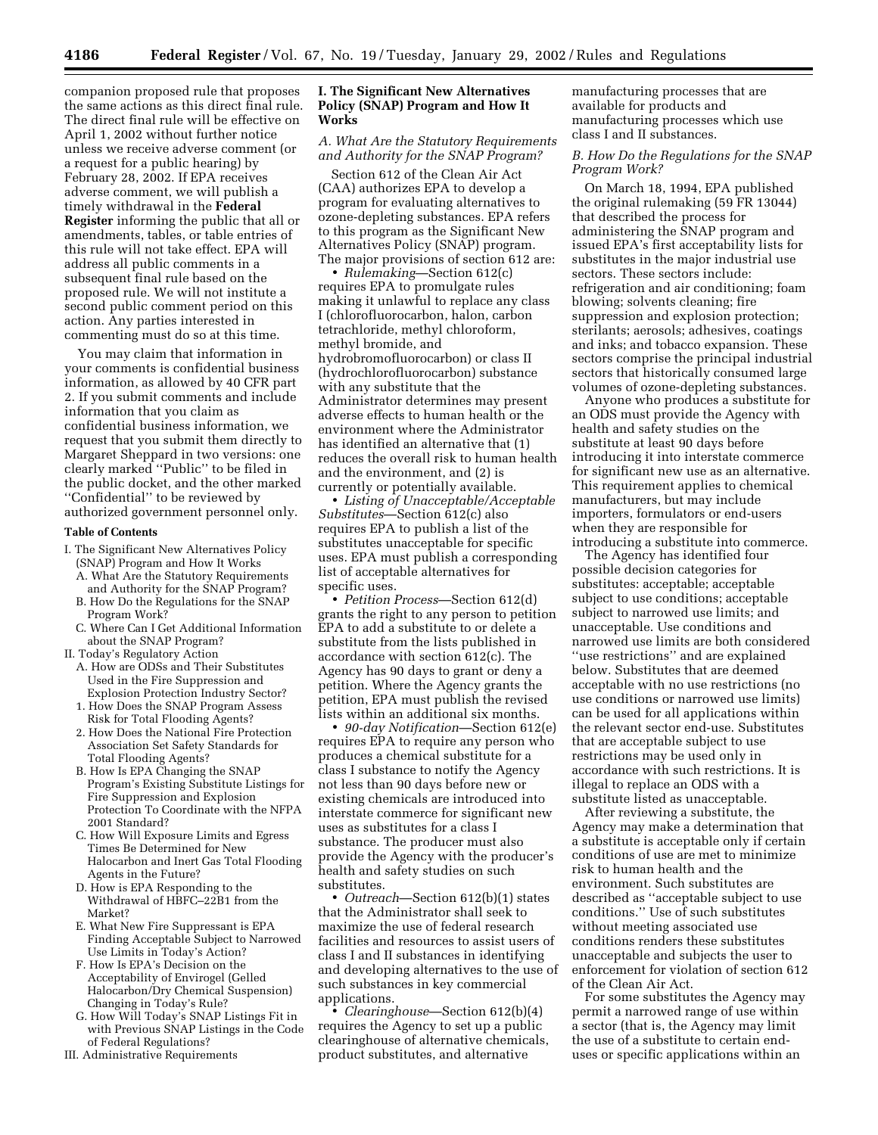companion proposed rule that proposes the same actions as this direct final rule. The direct final rule will be effective on April 1, 2002 without further notice unless we receive adverse comment (or a request for a public hearing) by February 28, 2002. If EPA receives adverse comment, we will publish a timely withdrawal in the **Federal Register** informing the public that all or amendments, tables, or table entries of this rule will not take effect. EPA will address all public comments in a subsequent final rule based on the proposed rule. We will not institute a second public comment period on this action. Any parties interested in commenting must do so at this time.

You may claim that information in your comments is confidential business information, as allowed by 40 CFR part 2. If you submit comments and include information that you claim as confidential business information, we request that you submit them directly to Margaret Sheppard in two versions: one clearly marked ''Public'' to be filed in the public docket, and the other marked ''Confidential'' to be reviewed by authorized government personnel only.

#### **Table of Contents**

- I. The Significant New Alternatives Policy (SNAP) Program and How It Works
	- A. What Are the Statutory Requirements and Authority for the SNAP Program?
	- B. How Do the Regulations for the SNAP Program Work?
	- C. Where Can I Get Additional Information about the SNAP Program?
- II. Today's Regulatory Action
	- A. How are ODSs and Their Substitutes Used in the Fire Suppression and Explosion Protection Industry Sector?
	- 1. How Does the SNAP Program Assess Risk for Total Flooding Agents?
	- 2. How Does the National Fire Protection Association Set Safety Standards for Total Flooding Agents?
	- B. How Is EPA Changing the SNAP Program's Existing Substitute Listings for Fire Suppression and Explosion Protection To Coordinate with the NFPA 2001 Standard?
	- C. How Will Exposure Limits and Egress Times Be Determined for New Halocarbon and Inert Gas Total Flooding Agents in the Future?
	- D. How is EPA Responding to the Withdrawal of HBFC–22B1 from the Market?
	- E. What New Fire Suppressant is EPA Finding Acceptable Subject to Narrowed Use Limits in Today's Action?
	- F. How Is EPA's Decision on the Acceptability of Envirogel (Gelled Halocarbon/Dry Chemical Suspension) Changing in Today's Rule?
- G. How Will Today's SNAP Listings Fit in with Previous SNAP Listings in the Code of Federal Regulations?
- III. Administrative Requirements

#### **I. The Significant New Alternatives Policy (SNAP) Program and How It Works**

# *A. What Are the Statutory Requirements and Authority for the SNAP Program?*

Section 612 of the Clean Air Act (CAA) authorizes EPA to develop a program for evaluating alternatives to ozone-depleting substances. EPA refers to this program as the Significant New Alternatives Policy (SNAP) program. The major provisions of section 612 are:

• *Rulemaking*—Section 612(c) requires EPA to promulgate rules making it unlawful to replace any class I (chlorofluorocarbon, halon, carbon tetrachloride, methyl chloroform, methyl bromide, and hydrobromofluorocarbon) or class II (hydrochlorofluorocarbon) substance with any substitute that the Administrator determines may present adverse effects to human health or the environment where the Administrator has identified an alternative that (1) reduces the overall risk to human health and the environment, and (2) is currently or potentially available.

• *Listing of Unacceptable/Acceptable Substitutes*—Section 612(c) also requires EPA to publish a list of the substitutes unacceptable for specific uses. EPA must publish a corresponding list of acceptable alternatives for specific uses.

• *Petition Process*—Section 612(d) grants the right to any person to petition EPA to add a substitute to or delete a substitute from the lists published in accordance with section 612(c). The Agency has 90 days to grant or deny a petition. Where the Agency grants the petition, EPA must publish the revised lists within an additional six months.

• *90-day Notification*—Section 612(e) requires EPA to require any person who produces a chemical substitute for a class I substance to notify the Agency not less than 90 days before new or existing chemicals are introduced into interstate commerce for significant new uses as substitutes for a class I substance. The producer must also provide the Agency with the producer's health and safety studies on such substitutes.

• *Outreach*—Section 612(b)(1) states that the Administrator shall seek to maximize the use of federal research facilities and resources to assist users of class I and II substances in identifying and developing alternatives to the use of such substances in key commercial applications.

• *Clearinghouse*—Section 612(b)(4) requires the Agency to set up a public clearinghouse of alternative chemicals, product substitutes, and alternative

manufacturing processes that are available for products and manufacturing processes which use class I and II substances.

# *B. How Do the Regulations for the SNAP Program Work?*

On March 18, 1994, EPA published the original rulemaking (59 FR 13044) that described the process for administering the SNAP program and issued EPA's first acceptability lists for substitutes in the major industrial use sectors. These sectors include: refrigeration and air conditioning; foam blowing; solvents cleaning; fire suppression and explosion protection; sterilants; aerosols; adhesives, coatings and inks; and tobacco expansion. These sectors comprise the principal industrial sectors that historically consumed large volumes of ozone-depleting substances.

Anyone who produces a substitute for an ODS must provide the Agency with health and safety studies on the substitute at least 90 days before introducing it into interstate commerce for significant new use as an alternative. This requirement applies to chemical manufacturers, but may include importers, formulators or end-users when they are responsible for introducing a substitute into commerce.

The Agency has identified four possible decision categories for substitutes: acceptable; acceptable subject to use conditions; acceptable subject to narrowed use limits; and unacceptable. Use conditions and narrowed use limits are both considered ''use restrictions'' and are explained below. Substitutes that are deemed acceptable with no use restrictions (no use conditions or narrowed use limits) can be used for all applications within the relevant sector end-use. Substitutes that are acceptable subject to use restrictions may be used only in accordance with such restrictions. It is illegal to replace an ODS with a substitute listed as unacceptable.

After reviewing a substitute, the Agency may make a determination that a substitute is acceptable only if certain conditions of use are met to minimize risk to human health and the environment. Such substitutes are described as ''acceptable subject to use conditions.'' Use of such substitutes without meeting associated use conditions renders these substitutes unacceptable and subjects the user to enforcement for violation of section 612 of the Clean Air Act.

For some substitutes the Agency may permit a narrowed range of use within a sector (that is, the Agency may limit the use of a substitute to certain enduses or specific applications within an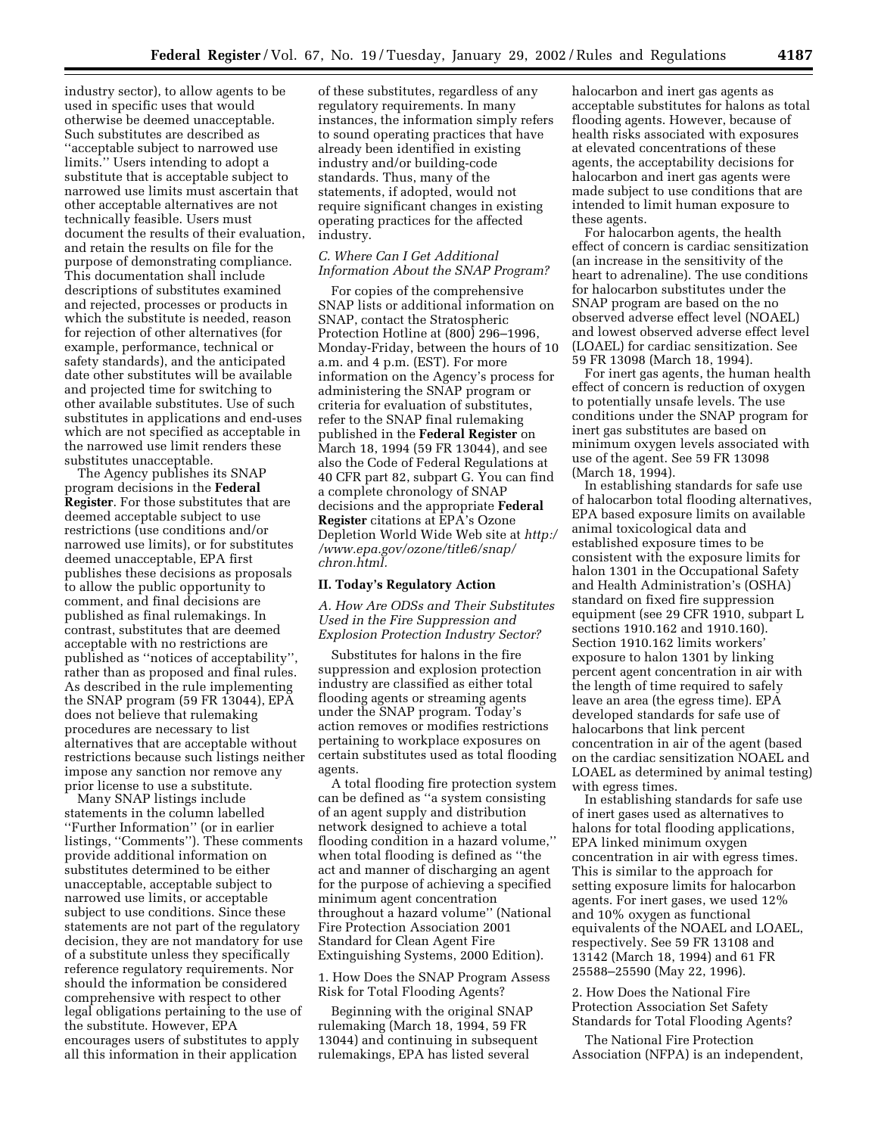industry sector), to allow agents to be used in specific uses that would otherwise be deemed unacceptable. Such substitutes are described as ''acceptable subject to narrowed use limits.'' Users intending to adopt a substitute that is acceptable subject to narrowed use limits must ascertain that other acceptable alternatives are not technically feasible. Users must document the results of their evaluation, and retain the results on file for the purpose of demonstrating compliance. This documentation shall include descriptions of substitutes examined and rejected, processes or products in which the substitute is needed, reason for rejection of other alternatives (for example, performance, technical or safety standards), and the anticipated date other substitutes will be available and projected time for switching to other available substitutes. Use of such substitutes in applications and end-uses which are not specified as acceptable in the narrowed use limit renders these substitutes unacceptable.

The Agency publishes its SNAP program decisions in the **Federal Register**. For those substitutes that are deemed acceptable subject to use restrictions (use conditions and/or narrowed use limits), or for substitutes deemed unacceptable, EPA first publishes these decisions as proposals to allow the public opportunity to comment, and final decisions are published as final rulemakings. In contrast, substitutes that are deemed acceptable with no restrictions are published as ''notices of acceptability'', rather than as proposed and final rules. As described in the rule implementing the SNAP program (59 FR 13044), EPA does not believe that rulemaking procedures are necessary to list alternatives that are acceptable without restrictions because such listings neither impose any sanction nor remove any prior license to use a substitute.

Many SNAP listings include statements in the column labelled ''Further Information'' (or in earlier listings, ''Comments''). These comments provide additional information on substitutes determined to be either unacceptable, acceptable subject to narrowed use limits, or acceptable subject to use conditions. Since these statements are not part of the regulatory decision, they are not mandatory for use of a substitute unless they specifically reference regulatory requirements. Nor should the information be considered comprehensive with respect to other legal obligations pertaining to the use of the substitute. However, EPA encourages users of substitutes to apply all this information in their application

of these substitutes, regardless of any regulatory requirements. In many instances, the information simply refers to sound operating practices that have already been identified in existing industry and/or building-code standards. Thus, many of the statements, if adopted, would not require significant changes in existing operating practices for the affected industry.

# *C. Where Can I Get Additional Information About the SNAP Program?*

For copies of the comprehensive SNAP lists or additional information on SNAP, contact the Stratospheric Protection Hotline at (800) 296–1996, Monday-Friday, between the hours of 10 a.m. and 4 p.m. (EST). For more information on the Agency's process for administering the SNAP program or criteria for evaluation of substitutes, refer to the SNAP final rulemaking published in the **Federal Register** on March 18, 1994 (59 FR 13044), and see also the Code of Federal Regulations at 40 CFR part 82, subpart G. You can find a complete chronology of SNAP decisions and the appropriate **Federal Register** citations at EPA's Ozone Depletion World Wide Web site at *http:/ /www.epa.gov/ozone/title6/snap/ chron.html.*

#### **II. Today's Regulatory Action**

*A. How Are ODSs and Their Substitutes Used in the Fire Suppression and Explosion Protection Industry Sector?*

Substitutes for halons in the fire suppression and explosion protection industry are classified as either total flooding agents or streaming agents under the SNAP program. Today's action removes or modifies restrictions pertaining to workplace exposures on certain substitutes used as total flooding agents.

A total flooding fire protection system can be defined as ''a system consisting of an agent supply and distribution network designed to achieve a total flooding condition in a hazard volume,'' when total flooding is defined as ''the act and manner of discharging an agent for the purpose of achieving a specified minimum agent concentration throughout a hazard volume'' (National Fire Protection Association 2001 Standard for Clean Agent Fire Extinguishing Systems, 2000 Edition).

1. How Does the SNAP Program Assess Risk for Total Flooding Agents?

Beginning with the original SNAP rulemaking (March 18, 1994, 59 FR 13044) and continuing in subsequent rulemakings, EPA has listed several

halocarbon and inert gas agents as acceptable substitutes for halons as total flooding agents. However, because of health risks associated with exposures at elevated concentrations of these agents, the acceptability decisions for halocarbon and inert gas agents were made subject to use conditions that are intended to limit human exposure to these agents.

For halocarbon agents, the health effect of concern is cardiac sensitization (an increase in the sensitivity of the heart to adrenaline). The use conditions for halocarbon substitutes under the SNAP program are based on the no observed adverse effect level (NOAEL) and lowest observed adverse effect level (LOAEL) for cardiac sensitization. See 59 FR 13098 (March 18, 1994).

For inert gas agents, the human health effect of concern is reduction of oxygen to potentially unsafe levels. The use conditions under the SNAP program for inert gas substitutes are based on minimum oxygen levels associated with use of the agent. See 59 FR 13098 (March 18, 1994).

In establishing standards for safe use of halocarbon total flooding alternatives, EPA based exposure limits on available animal toxicological data and established exposure times to be consistent with the exposure limits for halon 1301 in the Occupational Safety and Health Administration's (OSHA) standard on fixed fire suppression equipment (see 29 CFR 1910, subpart L sections 1910.162 and 1910.160). Section 1910.162 limits workers' exposure to halon 1301 by linking percent agent concentration in air with the length of time required to safely leave an area (the egress time). EPA developed standards for safe use of halocarbons that link percent concentration in air of the agent (based on the cardiac sensitization NOAEL and LOAEL as determined by animal testing) with egress times.

In establishing standards for safe use of inert gases used as alternatives to halons for total flooding applications, EPA linked minimum oxygen concentration in air with egress times. This is similar to the approach for setting exposure limits for halocarbon agents. For inert gases, we used 12% and 10% oxygen as functional equivalents of the NOAEL and LOAEL, respectively. See 59 FR 13108 and 13142 (March 18, 1994) and 61 FR 25588–25590 (May 22, 1996).

2. How Does the National Fire Protection Association Set Safety Standards for Total Flooding Agents?

The National Fire Protection Association (NFPA) is an independent,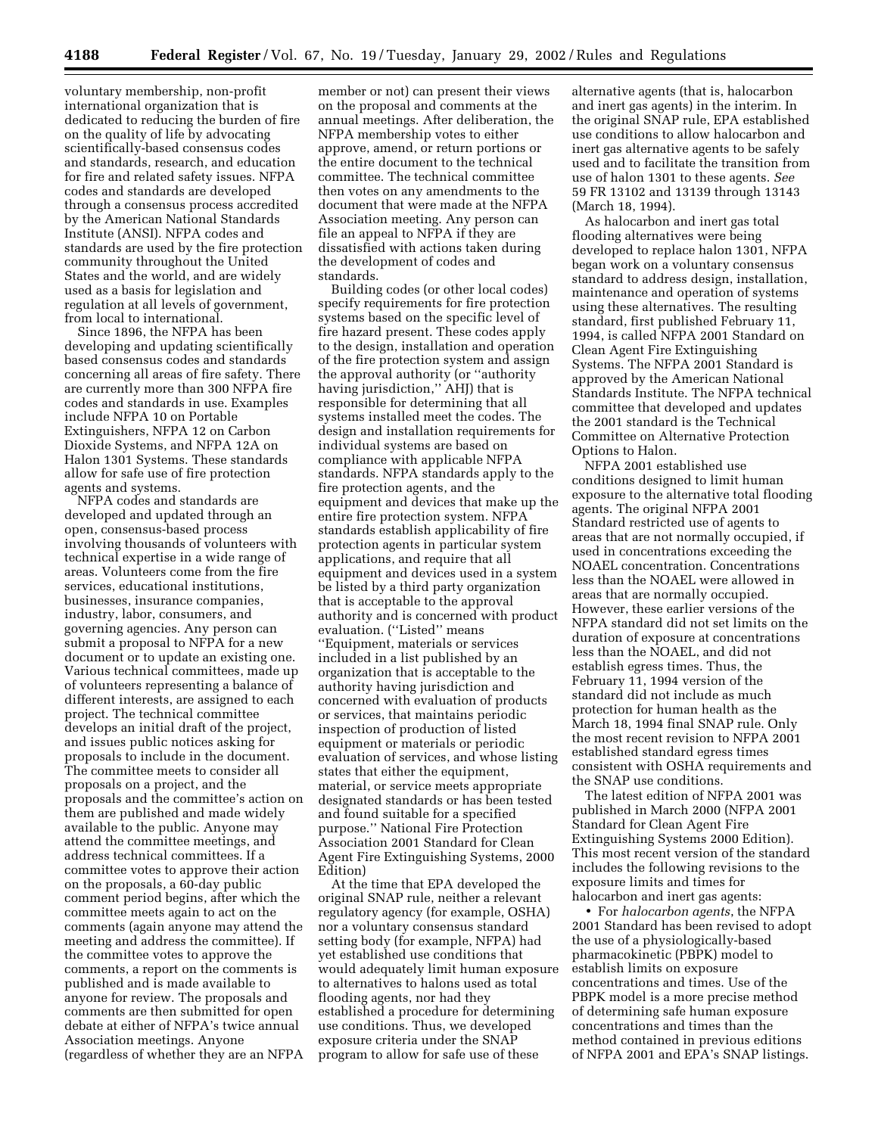**4188 Federal Register** / Vol. 67, No. 19 / Tuesday, January 29, 2002 / Rules and Regulations

voluntary membership, non-profit international organization that is dedicated to reducing the burden of fire on the quality of life by advocating scientifically-based consensus codes and standards, research, and education for fire and related safety issues. NFPA codes and standards are developed through a consensus process accredited by the American National Standards Institute (ANSI). NFPA codes and standards are used by the fire protection community throughout the United States and the world, and are widely used as a basis for legislation and regulation at all levels of government, from local to international.

Since 1896, the NFPA has been developing and updating scientifically based consensus codes and standards concerning all areas of fire safety. There are currently more than 300 NFPA fire codes and standards in use. Examples include NFPA 10 on Portable Extinguishers, NFPA 12 on Carbon Dioxide Systems, and NFPA 12A on Halon 1301 Systems. These standards allow for safe use of fire protection agents and systems.

NFPA codes and standards are developed and updated through an open, consensus-based process involving thousands of volunteers with technical expertise in a wide range of areas. Volunteers come from the fire services, educational institutions, businesses, insurance companies, industry, labor, consumers, and governing agencies. Any person can submit a proposal to NFPA for a new document or to update an existing one. Various technical committees, made up of volunteers representing a balance of different interests, are assigned to each project. The technical committee develops an initial draft of the project, and issues public notices asking for proposals to include in the document. The committee meets to consider all proposals on a project, and the proposals and the committee's action on them are published and made widely available to the public. Anyone may attend the committee meetings, and address technical committees. If a committee votes to approve their action on the proposals, a 60-day public comment period begins, after which the committee meets again to act on the comments (again anyone may attend the meeting and address the committee). If the committee votes to approve the comments, a report on the comments is published and is made available to anyone for review. The proposals and comments are then submitted for open debate at either of NFPA's twice annual Association meetings. Anyone (regardless of whether they are an NFPA

member or not) can present their views on the proposal and comments at the annual meetings. After deliberation, the NFPA membership votes to either approve, amend, or return portions or the entire document to the technical committee. The technical committee then votes on any amendments to the document that were made at the NFPA Association meeting. Any person can file an appeal to NFPA if they are dissatisfied with actions taken during the development of codes and standards.

Building codes (or other local codes) specify requirements for fire protection systems based on the specific level of fire hazard present. These codes apply to the design, installation and operation of the fire protection system and assign the approval authority (or ''authority having jurisdiction,'' AHJ) that is responsible for determining that all systems installed meet the codes. The design and installation requirements for individual systems are based on compliance with applicable NFPA standards. NFPA standards apply to the fire protection agents, and the equipment and devices that make up the entire fire protection system. NFPA standards establish applicability of fire protection agents in particular system applications, and require that all equipment and devices used in a system be listed by a third party organization that is acceptable to the approval authority and is concerned with product evaluation. (''Listed'' means ''Equipment, materials or services included in a list published by an organization that is acceptable to the authority having jurisdiction and concerned with evaluation of products or services, that maintains periodic inspection of production of listed equipment or materials or periodic evaluation of services, and whose listing states that either the equipment, material, or service meets appropriate designated standards or has been tested and found suitable for a specified purpose.'' National Fire Protection Association 2001 Standard for Clean Agent Fire Extinguishing Systems, 2000 Edition)

At the time that EPA developed the original SNAP rule, neither a relevant regulatory agency (for example, OSHA) nor a voluntary consensus standard setting body (for example, NFPA) had yet established use conditions that would adequately limit human exposure to alternatives to halons used as total flooding agents, nor had they established a procedure for determining use conditions. Thus, we developed exposure criteria under the SNAP program to allow for safe use of these

alternative agents (that is, halocarbon and inert gas agents) in the interim. In the original SNAP rule, EPA established use conditions to allow halocarbon and inert gas alternative agents to be safely used and to facilitate the transition from use of halon 1301 to these agents. *See* 59 FR 13102 and 13139 through 13143 (March 18, 1994).

As halocarbon and inert gas total flooding alternatives were being developed to replace halon 1301, NFPA began work on a voluntary consensus standard to address design, installation, maintenance and operation of systems using these alternatives. The resulting standard, first published February 11, 1994, is called NFPA 2001 Standard on Clean Agent Fire Extinguishing Systems. The NFPA 2001 Standard is approved by the American National Standards Institute. The NFPA technical committee that developed and updates the 2001 standard is the Technical Committee on Alternative Protection Options to Halon.

NFPA 2001 established use conditions designed to limit human exposure to the alternative total flooding agents. The original NFPA 2001 Standard restricted use of agents to areas that are not normally occupied, if used in concentrations exceeding the NOAEL concentration. Concentrations less than the NOAEL were allowed in areas that are normally occupied. However, these earlier versions of the NFPA standard did not set limits on the duration of exposure at concentrations less than the NOAEL, and did not establish egress times. Thus, the February 11, 1994 version of the standard did not include as much protection for human health as the March 18, 1994 final SNAP rule. Only the most recent revision to NFPA 2001 established standard egress times consistent with OSHA requirements and the SNAP use conditions.

The latest edition of NFPA 2001 was published in March 2000 (NFPA 2001 Standard for Clean Agent Fire Extinguishing Systems 2000 Edition). This most recent version of the standard includes the following revisions to the exposure limits and times for halocarbon and inert gas agents:

• For *halocarbon agents*, the NFPA 2001 Standard has been revised to adopt the use of a physiologically-based pharmacokinetic (PBPK) model to establish limits on exposure concentrations and times. Use of the PBPK model is a more precise method of determining safe human exposure concentrations and times than the method contained in previous editions of NFPA 2001 and EPA's SNAP listings.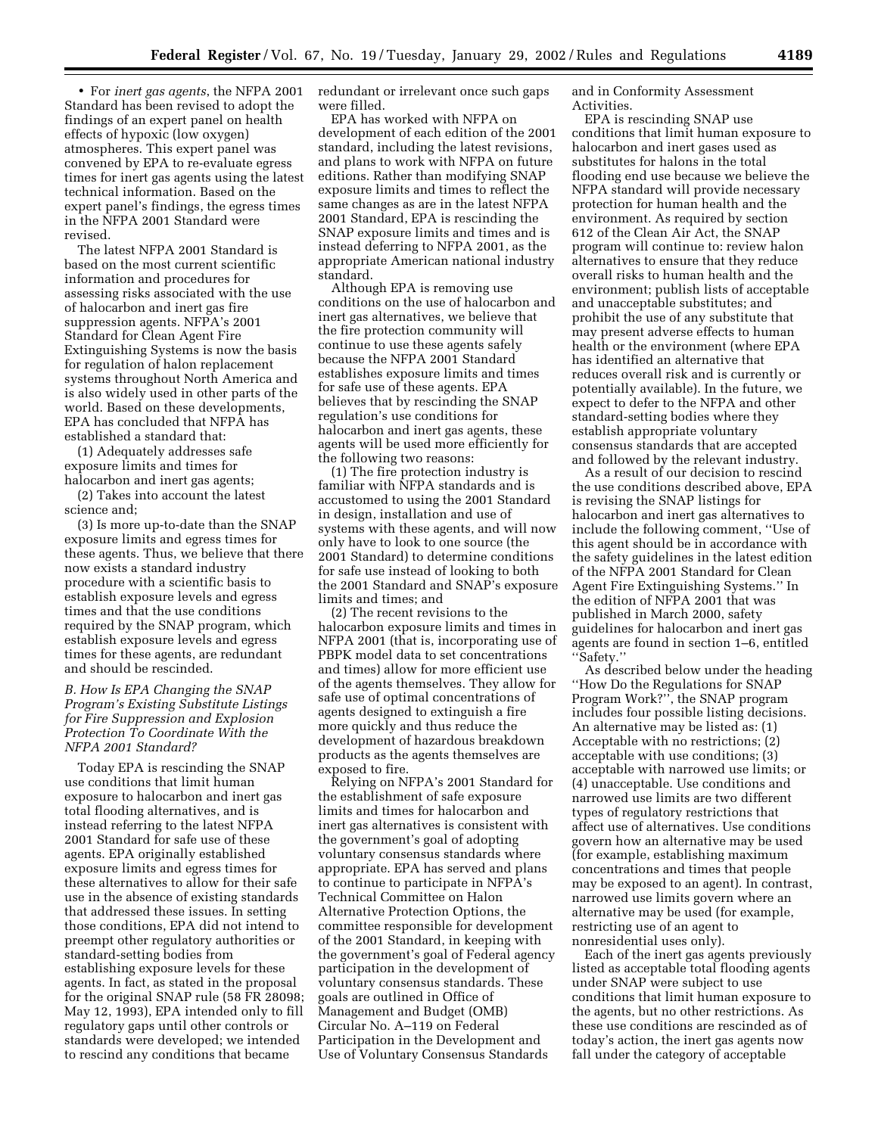• For *inert gas agents*, the NFPA 2001 Standard has been revised to adopt the findings of an expert panel on health effects of hypoxic (low oxygen) atmospheres. This expert panel was convened by EPA to re-evaluate egress times for inert gas agents using the latest technical information. Based on the expert panel's findings, the egress times in the NFPA 2001 Standard were revised.

The latest NFPA 2001 Standard is based on the most current scientific information and procedures for assessing risks associated with the use of halocarbon and inert gas fire suppression agents. NFPA's 2001 Standard for Clean Agent Fire Extinguishing Systems is now the basis for regulation of halon replacement systems throughout North America and is also widely used in other parts of the world. Based on these developments, EPA has concluded that NFPA has established a standard that:

(1) Adequately addresses safe exposure limits and times for halocarbon and inert gas agents;

(2) Takes into account the latest science and;

(3) Is more up-to-date than the SNAP exposure limits and egress times for these agents. Thus, we believe that there now exists a standard industry procedure with a scientific basis to establish exposure levels and egress times and that the use conditions required by the SNAP program, which establish exposure levels and egress times for these agents, are redundant and should be rescinded.

*B. How Is EPA Changing the SNAP Program's Existing Substitute Listings for Fire Suppression and Explosion Protection To Coordinate With the NFPA 2001 Standard?*

Today EPA is rescinding the SNAP use conditions that limit human exposure to halocarbon and inert gas total flooding alternatives, and is instead referring to the latest NFPA 2001 Standard for safe use of these agents. EPA originally established exposure limits and egress times for these alternatives to allow for their safe use in the absence of existing standards that addressed these issues. In setting those conditions, EPA did not intend to preempt other regulatory authorities or standard-setting bodies from establishing exposure levels for these agents. In fact, as stated in the proposal for the original SNAP rule (58 FR 28098; May 12, 1993), EPA intended only to fill regulatory gaps until other controls or standards were developed; we intended to rescind any conditions that became

redundant or irrelevant once such gaps were filled.

EPA has worked with NFPA on development of each edition of the 2001 standard, including the latest revisions, and plans to work with NFPA on future editions. Rather than modifying SNAP exposure limits and times to reflect the same changes as are in the latest NFPA 2001 Standard, EPA is rescinding the SNAP exposure limits and times and is instead deferring to NFPA 2001, as the appropriate American national industry standard.

Although EPA is removing use conditions on the use of halocarbon and inert gas alternatives, we believe that the fire protection community will continue to use these agents safely because the NFPA 2001 Standard establishes exposure limits and times for safe use of these agents. EPA believes that by rescinding the SNAP regulation's use conditions for halocarbon and inert gas agents, these agents will be used more efficiently for the following two reasons:

(1) The fire protection industry is familiar with NFPA standards and is accustomed to using the 2001 Standard in design, installation and use of systems with these agents, and will now only have to look to one source (the 2001 Standard) to determine conditions for safe use instead of looking to both the 2001 Standard and SNAP's exposure limits and times; and

(2) The recent revisions to the halocarbon exposure limits and times in NFPA 2001 (that is, incorporating use of PBPK model data to set concentrations and times) allow for more efficient use of the agents themselves. They allow for safe use of optimal concentrations of agents designed to extinguish a fire more quickly and thus reduce the development of hazardous breakdown products as the agents themselves are exposed to fire.

Relying on NFPA's 2001 Standard for the establishment of safe exposure limits and times for halocarbon and inert gas alternatives is consistent with the government's goal of adopting voluntary consensus standards where appropriate. EPA has served and plans to continue to participate in NFPA's Technical Committee on Halon Alternative Protection Options, the committee responsible for development of the 2001 Standard, in keeping with the government's goal of Federal agency participation in the development of voluntary consensus standards. These goals are outlined in Office of Management and Budget (OMB) Circular No. A–119 on Federal Participation in the Development and Use of Voluntary Consensus Standards

and in Conformity Assessment Activities.

EPA is rescinding SNAP use conditions that limit human exposure to halocarbon and inert gases used as substitutes for halons in the total flooding end use because we believe the NFPA standard will provide necessary protection for human health and the environment. As required by section 612 of the Clean Air Act, the SNAP program will continue to: review halon alternatives to ensure that they reduce overall risks to human health and the environment; publish lists of acceptable and unacceptable substitutes; and prohibit the use of any substitute that may present adverse effects to human health or the environment (where EPA has identified an alternative that reduces overall risk and is currently or potentially available). In the future, we expect to defer to the NFPA and other standard-setting bodies where they establish appropriate voluntary consensus standards that are accepted and followed by the relevant industry.

As a result of our decision to rescind the use conditions described above, EPA is revising the SNAP listings for halocarbon and inert gas alternatives to include the following comment, ''Use of this agent should be in accordance with the safety guidelines in the latest edition of the NFPA 2001 Standard for Clean Agent Fire Extinguishing Systems.'' In the edition of NFPA 2001 that was published in March 2000, safety guidelines for halocarbon and inert gas agents are found in section 1–6, entitled ''Safety.''

As described below under the heading ''How Do the Regulations for SNAP Program Work?'', the SNAP program includes four possible listing decisions. An alternative may be listed as: (1) Acceptable with no restrictions; (2) acceptable with use conditions; (3) acceptable with narrowed use limits; or (4) unacceptable. Use conditions and narrowed use limits are two different types of regulatory restrictions that affect use of alternatives. Use conditions govern how an alternative may be used (for example, establishing maximum concentrations and times that people may be exposed to an agent). In contrast, narrowed use limits govern where an alternative may be used (for example, restricting use of an agent to nonresidential uses only).

Each of the inert gas agents previously listed as acceptable total flooding agents under SNAP were subject to use conditions that limit human exposure to the agents, but no other restrictions. As these use conditions are rescinded as of today's action, the inert gas agents now fall under the category of acceptable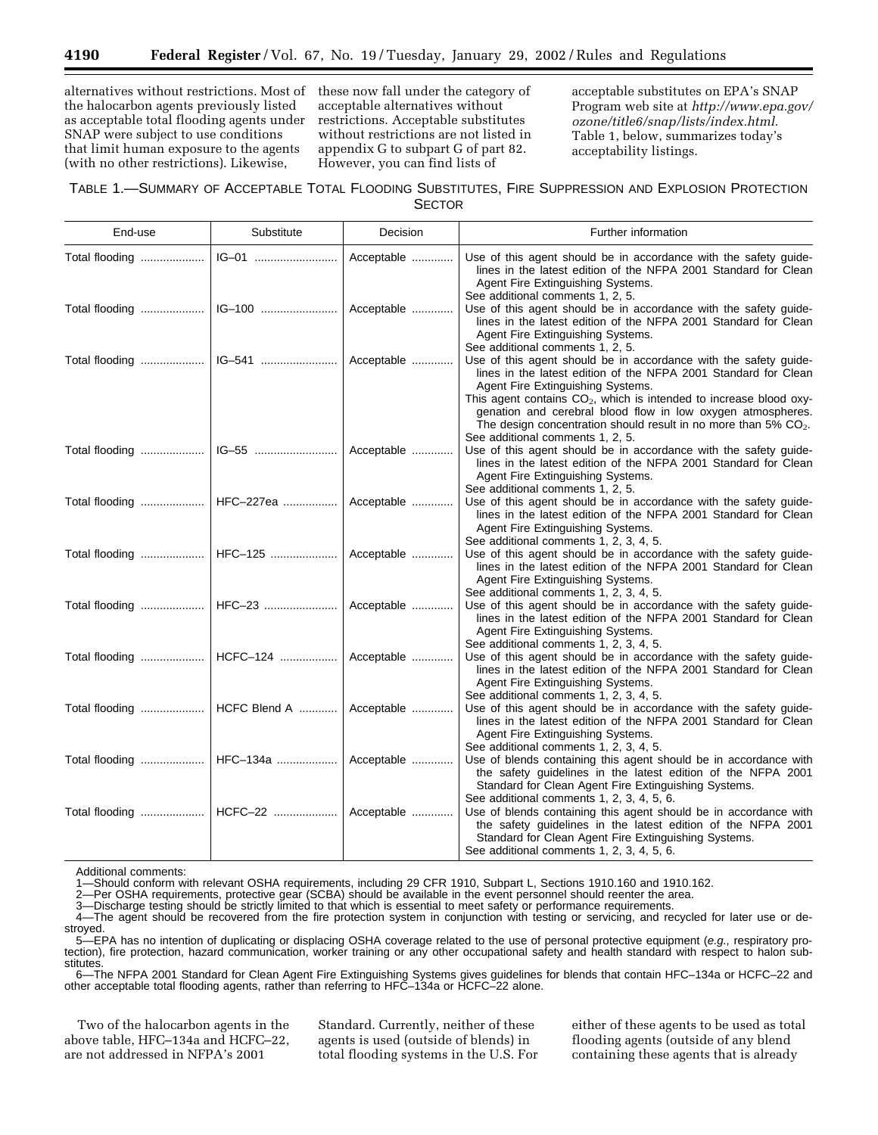alternatives without restrictions. Most of the halocarbon agents previously listed as acceptable total flooding agents under SNAP were subject to use conditions that limit human exposure to the agents (with no other restrictions). Likewise,

these now fall under the category of acceptable alternatives without restrictions. Acceptable substitutes without restrictions are not listed in appendix G to subpart G of part 82. However, you can find lists of

acceptable substitutes on EPA's SNAP Program web site at *http://www.epa.gov/ ozone/title6/snap/lists/index.html.* Table 1, below, summarizes today's acceptability listings.

# TABLE 1.—SUMMARY OF ACCEPTABLE TOTAL FLOODING SUBSTITUTES, FIRE SUPPRESSION AND EXPLOSION PROTECTION

**SECTOR** 

| End-use                                | Substitute | Decision   | Further information                                                                                                                                                                                                                                                                                                                                                                                                                             |
|----------------------------------------|------------|------------|-------------------------------------------------------------------------------------------------------------------------------------------------------------------------------------------------------------------------------------------------------------------------------------------------------------------------------------------------------------------------------------------------------------------------------------------------|
| Total flooding    IG-01                |            | Acceptable | Use of this agent should be in accordance with the safety guide-<br>lines in the latest edition of the NFPA 2001 Standard for Clean<br>Agent Fire Extinguishing Systems.                                                                                                                                                                                                                                                                        |
|                                        |            | Acceptable | See additional comments 1, 2, 5.<br>Use of this agent should be in accordance with the safety guide-<br>lines in the latest edition of the NFPA 2001 Standard for Clean<br>Agent Fire Extinguishing Systems.                                                                                                                                                                                                                                    |
| Total flooding    IG-541               |            | Acceptable | See additional comments 1, 2, 5.<br>Use of this agent should be in accordance with the safety guide-<br>lines in the latest edition of the NFPA 2001 Standard for Clean<br>Agent Fire Extinguishing Systems.<br>This agent contains CO <sub>2</sub> , which is intended to increase blood oxy-<br>genation and cerebral blood flow in low oxygen atmospheres.<br>The design concentration should result in no more than $5\%$ CO <sub>2</sub> . |
|                                        |            | Acceptable | See additional comments 1, 2, 5.<br>Use of this agent should be in accordance with the safety guide-<br>lines in the latest edition of the NFPA 2001 Standard for Clean<br>Agent Fire Extinguishing Systems.                                                                                                                                                                                                                                    |
| Total flooding    HFC-227ea            |            | Acceptable | See additional comments 1, 2, 5.<br>Use of this agent should be in accordance with the safety guide-<br>lines in the latest edition of the NFPA 2001 Standard for Clean<br>Agent Fire Extinguishing Systems.                                                                                                                                                                                                                                    |
| Total flooding   HFC-125   Acceptable  |            |            | See additional comments 1, 2, 3, 4, 5.<br>Use of this agent should be in accordance with the safety guide-<br>lines in the latest edition of the NFPA 2001 Standard for Clean<br>Agent Fire Extinguishing Systems.                                                                                                                                                                                                                              |
| Total flooding   HFC-23   Acceptable   |            |            | See additional comments 1, 2, 3, 4, 5.<br>Use of this agent should be in accordance with the safety guide-<br>lines in the latest edition of the NFPA 2001 Standard for Clean<br>Agent Fire Extinguishing Systems.                                                                                                                                                                                                                              |
|                                        |            |            | See additional comments 1, 2, 3, 4, 5.<br>Use of this agent should be in accordance with the safety guide-<br>lines in the latest edition of the NFPA 2001 Standard for Clean<br>Agent Fire Extinguishing Systems.                                                                                                                                                                                                                              |
|                                        |            |            | See additional comments 1, 2, 3, 4, 5.<br>Use of this agent should be in accordance with the safety guide-<br>lines in the latest edition of the NFPA 2001 Standard for Clean<br>Agent Fire Extinguishing Systems.                                                                                                                                                                                                                              |
| Total flooding   HFC-134a   Acceptable |            |            | See additional comments 1, 2, 3, 4, 5.<br>Use of blends containing this agent should be in accordance with<br>the safety guidelines in the latest edition of the NFPA 2001<br>Standard for Clean Agent Fire Extinguishing Systems.                                                                                                                                                                                                              |
| Total flooding    HCFC-22              |            | Acceptable | See additional comments 1, 2, 3, 4, 5, 6.<br>Use of blends containing this agent should be in accordance with<br>the safety guidelines in the latest edition of the NFPA 2001<br>Standard for Clean Agent Fire Extinguishing Systems.<br>See additional comments 1, 2, 3, 4, 5, 6.                                                                                                                                                              |

Additional comments:

1—Should conform with relevant OSHA requirements, including 29 CFR 1910, Subpart L, Sections 1910.160 and 1910.162.<br>2—Per OSHA requirements, protective gear (SCBA) should be available in the event personnel should reenter

2—Per OSHA requirements, protective gear (SCBA) should be available in the event personnel should reenter the area.<br>3—Discharge testing should be strictly limited to that which is essential to meet safety or performance re

3—Discharge testing should be strictly limited to that which is essential to meet safety or performance requirements.

4—The agent should be recovered from the fire protection system in conjunction with testing or servicing, and recycled for later use or destroyed.

5—EPA has no intention of duplicating or displacing OSHA coverage related to the use of personal protective equipment (e.g., respiratory protection), fire protection, hazard communication, worker training or any other occupational safety and health standard with respect to halon substitutes.

6—The NFPA 2001 Standard for Clean Agent Fire Extinguishing Systems gives guidelines for blends that contain HFC–134a or HCFC–22 and other acceptable total flooding agents, rather than referring to HFC–134a or HCFC–22 alone.

Two of the halocarbon agents in the above table, HFC–134a and HCFC–22, are not addressed in NFPA's 2001

Standard. Currently, neither of these agents is used (outside of blends) in total flooding systems in the U.S. For either of these agents to be used as total flooding agents (outside of any blend containing these agents that is already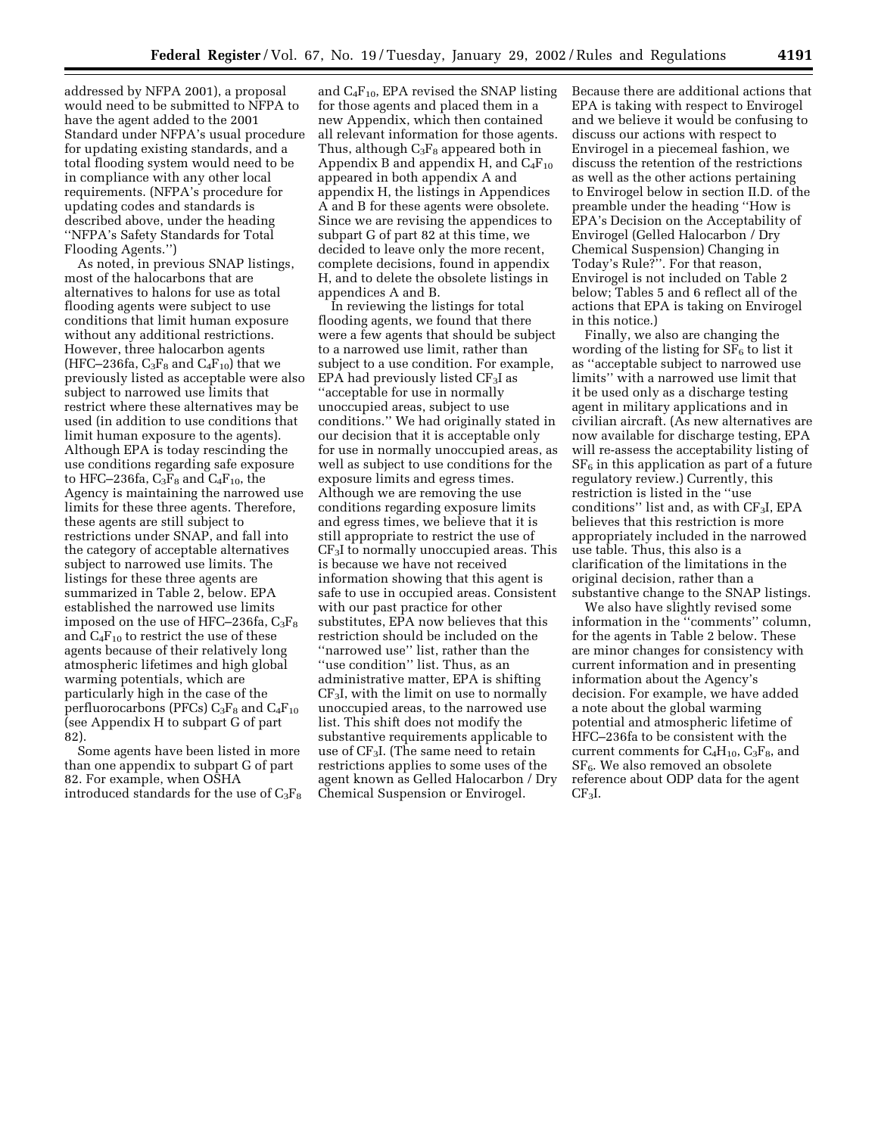addressed by NFPA 2001), a proposal would need to be submitted to NFPA to have the agent added to the 2001 Standard under NFPA's usual procedure for updating existing standards, and a total flooding system would need to be in compliance with any other local requirements. (NFPA's procedure for updating codes and standards is described above, under the heading ''NFPA's Safety Standards for Total Flooding Agents.'')

As noted, in previous SNAP listings, most of the halocarbons that are alternatives to halons for use as total flooding agents were subject to use conditions that limit human exposure without any additional restrictions. However, three halocarbon agents (HFC–236fa,  $C_3F_8$  and  $C_4F_{10}$ ) that we previously listed as acceptable were also subject to narrowed use limits that restrict where these alternatives may be used (in addition to use conditions that limit human exposure to the agents). Although EPA is today rescinding the use conditions regarding safe exposure to HFC–236fa,  $C_3F_8$  and  $C_4F_{10}$ , the Agency is maintaining the narrowed use limits for these three agents. Therefore, these agents are still subject to restrictions under SNAP, and fall into the category of acceptable alternatives subject to narrowed use limits. The listings for these three agents are summarized in Table 2, below. EPA established the narrowed use limits imposed on the use of HFC–236fa,  $C_3F_8$ and  $C_4F_{10}$  to restrict the use of these agents because of their relatively long atmospheric lifetimes and high global warming potentials, which are particularly high in the case of the perfluorocarbons (PFCs)  $C_3F_8$  and  $C_4F_{10}$ (see Appendix H to subpart G of part 82).

Some agents have been listed in more than one appendix to subpart G of part 82. For example, when OSHA introduced standards for the use of  $C_3F_8$ 

and  $C_4F_{10}$ , EPA revised the SNAP listing for those agents and placed them in a new Appendix, which then contained all relevant information for those agents. Thus, although  $C_3F_8$  appeared both in Appendix B and appendix H, and  $C_4F_{10}$ appeared in both appendix A and appendix H, the listings in Appendices A and B for these agents were obsolete. Since we are revising the appendices to subpart G of part 82 at this time, we decided to leave only the more recent, complete decisions, found in appendix H, and to delete the obsolete listings in appendices A and B.

In reviewing the listings for total flooding agents, we found that there were a few agents that should be subject to a narrowed use limit, rather than subject to a use condition. For example, EPA had previously listed  $CF_3I$  as ''acceptable for use in normally unoccupied areas, subject to use conditions.'' We had originally stated in our decision that it is acceptable only for use in normally unoccupied areas, as well as subject to use conditions for the exposure limits and egress times. Although we are removing the use conditions regarding exposure limits and egress times, we believe that it is still appropriate to restrict the use of CF3I to normally unoccupied areas. This is because we have not received information showing that this agent is safe to use in occupied areas. Consistent with our past practice for other substitutes, EPA now believes that this restriction should be included on the ''narrowed use'' list, rather than the "use condition" list. Thus, as an administrative matter, EPA is shifting CF3I, with the limit on use to normally unoccupied areas, to the narrowed use list. This shift does not modify the substantive requirements applicable to use of  $CF_3I$ . (The same need to retain restrictions applies to some uses of the agent known as Gelled Halocarbon / Dry Chemical Suspension or Envirogel.

Because there are additional actions that EPA is taking with respect to Envirogel and we believe it would be confusing to discuss our actions with respect to Envirogel in a piecemeal fashion, we discuss the retention of the restrictions as well as the other actions pertaining to Envirogel below in section II.D. of the preamble under the heading ''How is EPA's Decision on the Acceptability of Envirogel (Gelled Halocarbon / Dry Chemical Suspension) Changing in Today's Rule?''. For that reason, Envirogel is not included on Table 2 below; Tables 5 and 6 reflect all of the actions that EPA is taking on Envirogel in this notice.)

Finally, we also are changing the wording of the listing for  $SF<sub>6</sub>$  to list it as ''acceptable subject to narrowed use limits'' with a narrowed use limit that it be used only as a discharge testing agent in military applications and in civilian aircraft. (As new alternatives are now available for discharge testing, EPA will re-assess the acceptability listing of  $SF<sub>6</sub>$  in this application as part of a future regulatory review.) Currently, this restriction is listed in the ''use conditions'' list and, as with CF3I, EPA believes that this restriction is more appropriately included in the narrowed use table. Thus, this also is a clarification of the limitations in the original decision, rather than a substantive change to the SNAP listings.

We also have slightly revised some information in the ''comments'' column, for the agents in Table 2 below. These are minor changes for consistency with current information and in presenting information about the Agency's decision. For example, we have added a note about the global warming potential and atmospheric lifetime of HFC–236fa to be consistent with the current comments for  $C_4H_{10}$ ,  $C_3F_8$ , and  $SF<sub>6</sub>$ . We also removed an obsolete reference about ODP data for the agent  $CF<sub>3</sub>I$ .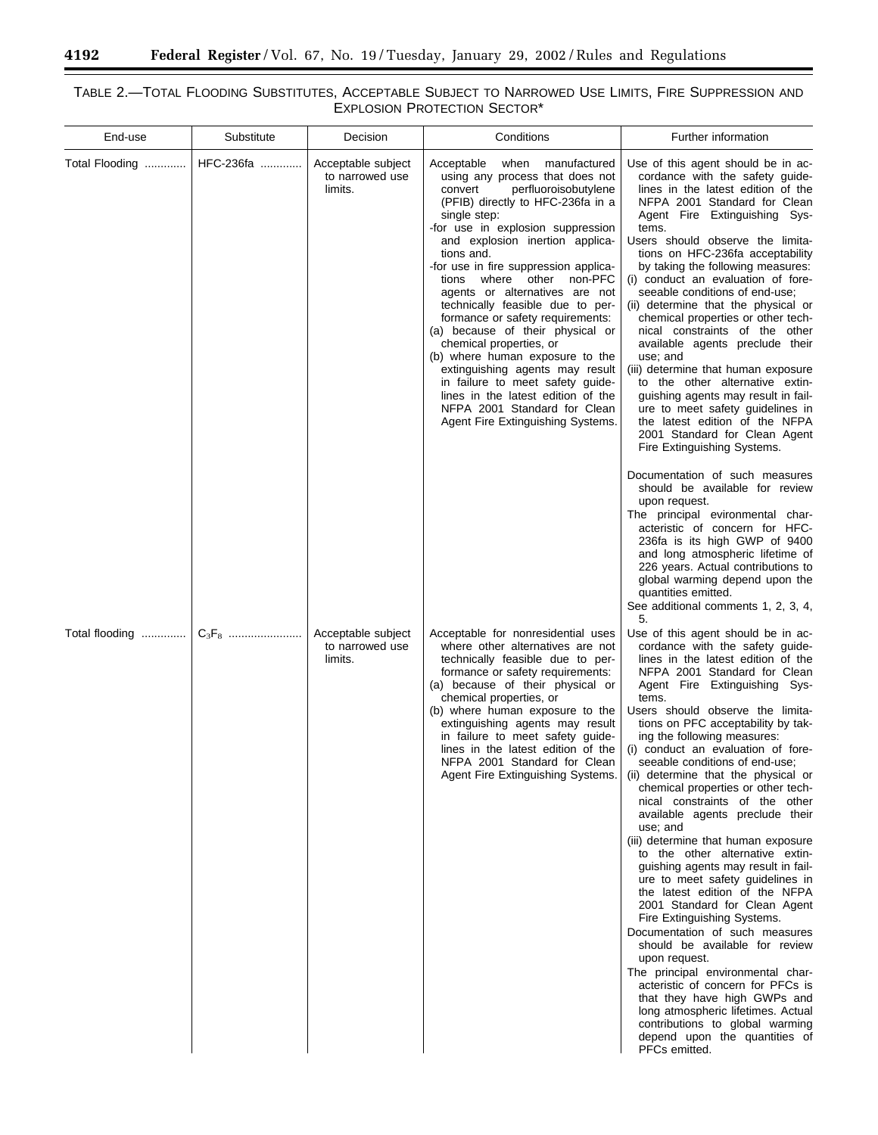۳

۰

# TABLE 2.—TOTAL FLOODING SUBSTITUTES, ACCEPTABLE SUBJECT TO NARROWED USE LIMITS, FIRE SUPPRESSION AND EXPLOSION PROTECTION SECTOR\*

| End-use        | Substitute | Decision                                         | Conditions                                                                                                                                                                                                                                                                                                                                                                                                                                                                                                                                                                                                                                                                                                                 | Further information                                                                                                                                                                                                                                                                                                                                                                                                                                                                                                                                                                                                                                                                                                                                                                                                                                                                                                                                                                                                                                                                                                                                                |
|----------------|------------|--------------------------------------------------|----------------------------------------------------------------------------------------------------------------------------------------------------------------------------------------------------------------------------------------------------------------------------------------------------------------------------------------------------------------------------------------------------------------------------------------------------------------------------------------------------------------------------------------------------------------------------------------------------------------------------------------------------------------------------------------------------------------------------|--------------------------------------------------------------------------------------------------------------------------------------------------------------------------------------------------------------------------------------------------------------------------------------------------------------------------------------------------------------------------------------------------------------------------------------------------------------------------------------------------------------------------------------------------------------------------------------------------------------------------------------------------------------------------------------------------------------------------------------------------------------------------------------------------------------------------------------------------------------------------------------------------------------------------------------------------------------------------------------------------------------------------------------------------------------------------------------------------------------------------------------------------------------------|
| Total Flooding | HFC-236fa  | Acceptable subject<br>to narrowed use<br>limits. | Acceptable<br>when<br>manufactured<br>using any process that does not<br>perfluoroisobutylene<br>convert<br>(PFIB) directly to HFC-236fa in a<br>single step:<br>-for use in explosion suppression<br>and explosion inertion applica-<br>tions and.<br>-for use in fire suppression applica-<br>where other non-PFC<br>tions<br>agents or alternatives are not<br>technically feasible due to per-<br>formance or safety requirements:<br>(a) because of their physical or<br>chemical properties, or<br>(b) where human exposure to the<br>extinguishing agents may result<br>in failure to meet safety guide-<br>lines in the latest edition of the<br>NFPA 2001 Standard for Clean<br>Agent Fire Extinguishing Systems. | Use of this agent should be in ac-<br>cordance with the safety guide-<br>lines in the latest edition of the<br>NFPA 2001 Standard for Clean<br>Agent Fire Extinguishing Sys-<br>tems.<br>Users should observe the limita-<br>tions on HFC-236fa acceptability<br>by taking the following measures:<br>(i) conduct an evaluation of fore-<br>seeable conditions of end-use;<br>(ii) determine that the physical or<br>chemical properties or other tech-<br>nical constraints of the other<br>available agents preclude their<br>use; and<br>(iii) determine that human exposure<br>to the other alternative extin-<br>guishing agents may result in fail-<br>ure to meet safety guidelines in<br>the latest edition of the NFPA<br>2001 Standard for Clean Agent<br>Fire Extinguishing Systems.<br>Documentation of such measures<br>should be available for review<br>upon request.<br>The principal evironmental char-<br>acteristic of concern for HFC<br>236fa is its high GWP of 9400<br>and long atmospheric lifetime of<br>226 years. Actual contributions to<br>global warming depend upon the<br>quantities emitted.                                      |
| Total flooding |            | Acceptable subject<br>to narrowed use<br>limits. | Acceptable for nonresidential uses<br>where other alternatives are not<br>technically feasible due to per-<br>formance or safety requirements:<br>(a) because of their physical or<br>chemical properties, or<br>(b) where human exposure to the<br>extinguishing agents may result<br>in failure to meet safety guide-<br>lines in the latest edition of the<br>NFPA 2001 Standard for Clean<br>Agent Fire Extinguishing Systems.                                                                                                                                                                                                                                                                                         | See additional comments 1, 2, 3, 4,<br>5.<br>Use of this agent should be in ac-<br>cordance with the safety guide-<br>lines in the latest edition of the<br>NFPA 2001 Standard for Clean<br>Agent Fire Extinguishing Sys-<br>tems.<br>Users should observe the limita-<br>tions on PFC acceptability by tak-<br>ing the following measures:<br>(i) conduct an evaluation of fore-<br>seeable conditions of end-use,<br>(ii) determine that the physical or<br>chemical properties or other tech-<br>nical constraints of the other<br>available agents preclude their<br>use; and<br>(iii) determine that human exposure<br>to the other alternative extin-<br>guishing agents may result in fail-<br>ure to meet safety guidelines in<br>the latest edition of the NFPA<br>2001 Standard for Clean Agent<br>Fire Extinguishing Systems.<br>Documentation of such measures<br>should be available for review<br>upon request.<br>The principal environmental char-<br>acteristic of concern for PFCs is<br>that they have high GWPs and<br>long atmospheric lifetimes. Actual<br>contributions to global warming<br>depend upon the quantities of<br>PFCs emitted. |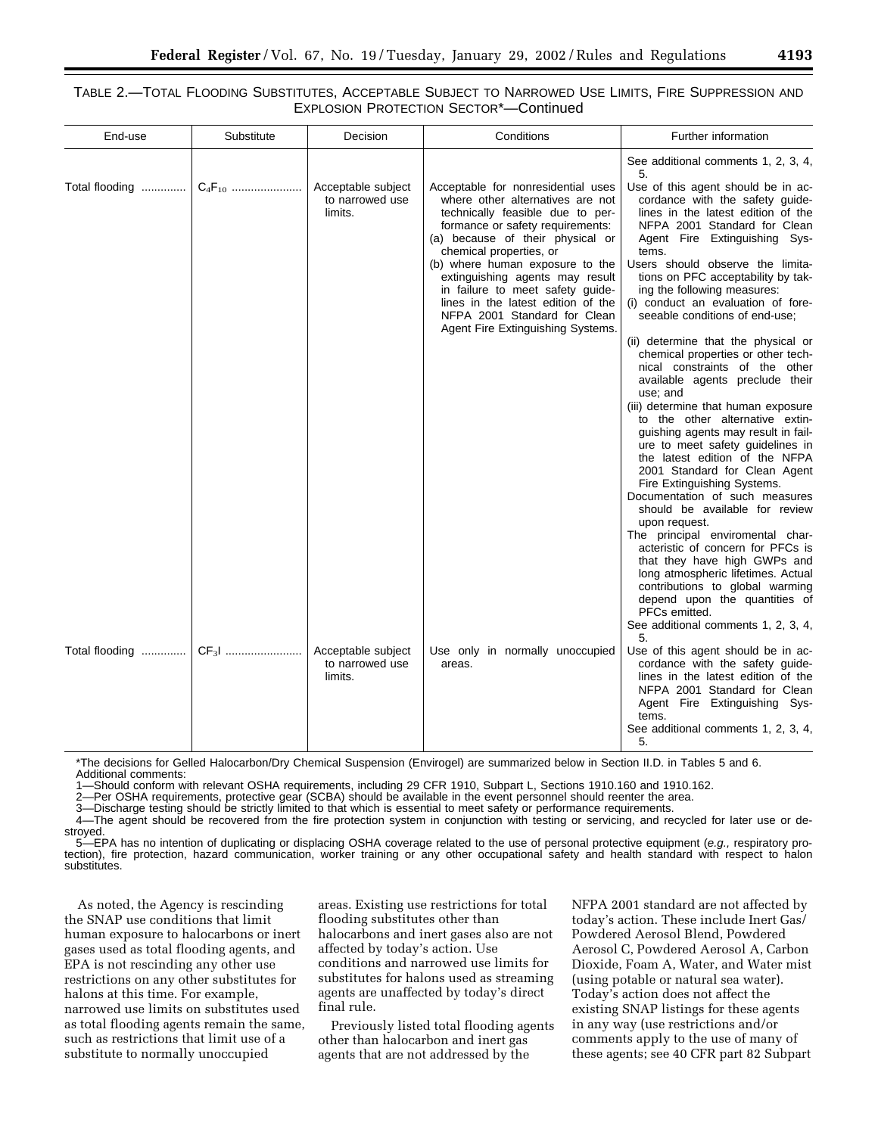# TABLE 2.—TOTAL FLOODING SUBSTITUTES, ACCEPTABLE SUBJECT TO NARROWED USE LIMITS, FIRE SUPPRESSION AND EXPLOSION PROTECTION SECTOR\*—Continued

| End-use        | Substitute | Decision                                         | Conditions                                                                                                                                                                                                                                                                                                                                                                                                                         | Further information                                                                                                                                                                                                                                                                                                                                                                                                                                                                                                                                                                                                                                                                                                                            |
|----------------|------------|--------------------------------------------------|------------------------------------------------------------------------------------------------------------------------------------------------------------------------------------------------------------------------------------------------------------------------------------------------------------------------------------------------------------------------------------------------------------------------------------|------------------------------------------------------------------------------------------------------------------------------------------------------------------------------------------------------------------------------------------------------------------------------------------------------------------------------------------------------------------------------------------------------------------------------------------------------------------------------------------------------------------------------------------------------------------------------------------------------------------------------------------------------------------------------------------------------------------------------------------------|
| Total flooding |            | Acceptable subject<br>to narrowed use<br>limits. | Acceptable for nonresidential uses<br>where other alternatives are not<br>technically feasible due to per-<br>formance or safety requirements:<br>(a) because of their physical or<br>chemical properties, or<br>(b) where human exposure to the<br>extinguishing agents may result<br>in failure to meet safety guide-<br>lines in the latest edition of the<br>NFPA 2001 Standard for Clean<br>Agent Fire Extinguishing Systems. | See additional comments 1, 2, 3, 4,<br>5.<br>Use of this agent should be in ac-<br>cordance with the safety guide-<br>lines in the latest edition of the<br>NFPA 2001 Standard for Clean<br>Agent Fire Extinguishing Sys-<br>tems.<br>Users should observe the limita-<br>tions on PFC acceptability by tak-<br>ing the following measures:<br>(i) conduct an evaluation of fore-<br>seeable conditions of end-use;<br>(ii) determine that the physical or<br>chemical properties or other tech-<br>nical constraints of the other<br>available agents preclude their<br>use; and<br>(iii) determine that human exposure<br>to the other alternative extin-<br>guishing agents may result in fail-                                             |
| Total flooding | CF31       | Acceptable subject<br>to narrowed use<br>limits. | Use only in normally unoccupied<br>areas.                                                                                                                                                                                                                                                                                                                                                                                          | ure to meet safety guidelines in<br>the latest edition of the NFPA<br>2001 Standard for Clean Agent<br>Fire Extinguishing Systems.<br>Documentation of such measures<br>should be available for review<br>upon request.<br>The principal enviromental char-<br>acteristic of concern for PFCs is<br>that they have high GWPs and<br>long atmospheric lifetimes. Actual<br>contributions to global warming<br>depend upon the quantities of<br>PFCs emitted.<br>See additional comments 1, 2, 3, 4,<br>5.<br>Use of this agent should be in ac-<br>cordance with the safety guide-<br>lines in the latest edition of the<br>NFPA 2001 Standard for Clean<br>Agent Fire Extinguishing Sys-<br>tems.<br>See additional comments 1, 2, 3, 4,<br>5. |

\*The decisions for Gelled Halocarbon/Dry Chemical Suspension (Envirogel) are summarized below in Section II.D. in Tables 5 and 6. Additional comments:

1—Should conform with relevant OSHA requirements, including 29 CFR 1910, Subpart L, Sections 1910.160 and 1910.162.

2—Per OSHA requirements, protective gear (SCBA) should be available in the event personnel should reenter the area.

3—Discharge testing should be strictly limited to that which is essential to meet safety or performance requirements<br>4—The agent should be recovered from the fire protection system in conjunction with testing or servicing,

4—The agent should be recovered from the fire protection system in conjunction with testing or servicing, and recycled for later use or destroyed.

5—EPA has no intention of duplicating or displacing OSHA coverage related to the use of personal protective equipment (e.g., respiratory protection), fire protection, hazard communication, worker training or any other occupational safety and health standard with respect to halon substitutes.

As noted, the Agency is rescinding the SNAP use conditions that limit human exposure to halocarbons or inert gases used as total flooding agents, and EPA is not rescinding any other use restrictions on any other substitutes for halons at this time. For example, narrowed use limits on substitutes used as total flooding agents remain the same, such as restrictions that limit use of a substitute to normally unoccupied

areas. Existing use restrictions for total flooding substitutes other than halocarbons and inert gases also are not affected by today's action. Use conditions and narrowed use limits for substitutes for halons used as streaming agents are unaffected by today's direct final rule.

Previously listed total flooding agents other than halocarbon and inert gas agents that are not addressed by the

NFPA 2001 standard are not affected by today's action. These include Inert Gas/ Powdered Aerosol Blend, Powdered Aerosol C, Powdered Aerosol A, Carbon Dioxide, Foam A, Water, and Water mist (using potable or natural sea water). Today's action does not affect the existing SNAP listings for these agents in any way (use restrictions and/or comments apply to the use of many of these agents; see 40 CFR part 82 Subpart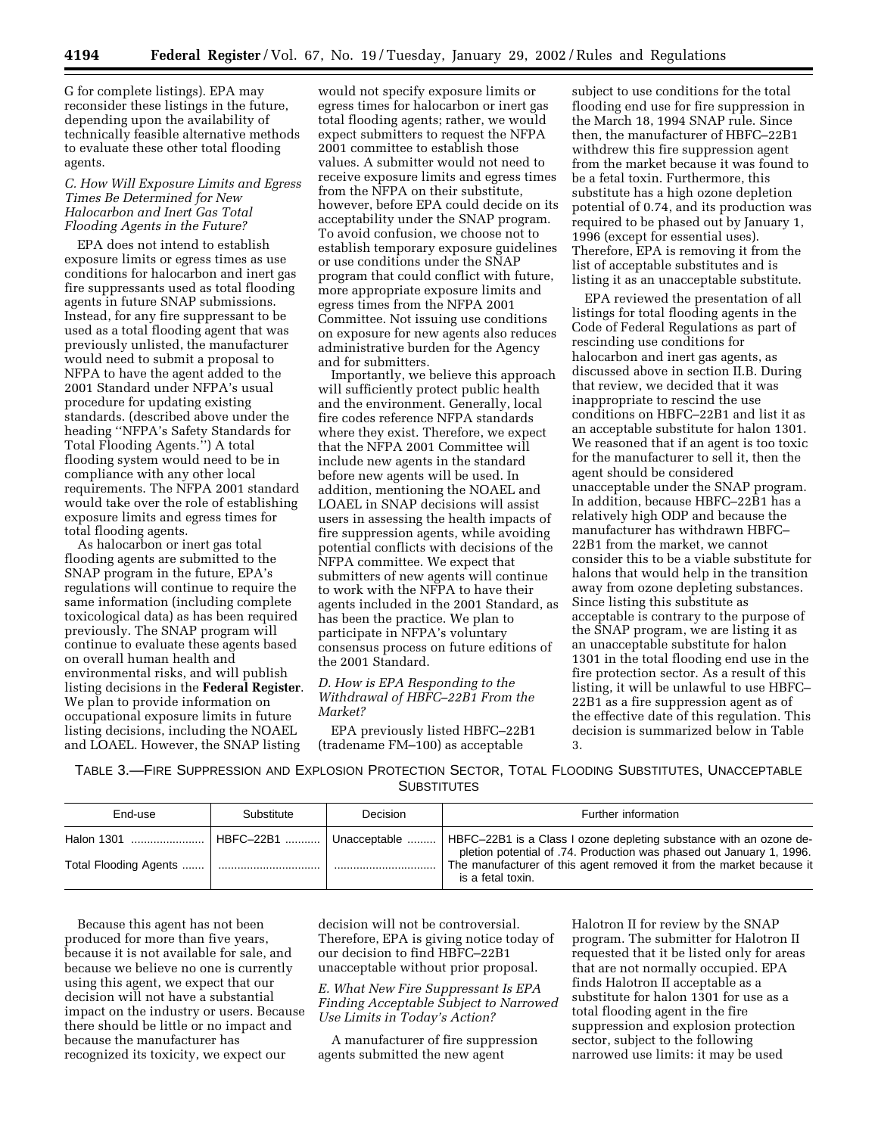G for complete listings). EPA may reconsider these listings in the future, depending upon the availability of technically feasible alternative methods to evaluate these other total flooding agents.

#### *C. How Will Exposure Limits and Egress Times Be Determined for New Halocarbon and Inert Gas Total Flooding Agents in the Future?*

EPA does not intend to establish exposure limits or egress times as use conditions for halocarbon and inert gas fire suppressants used as total flooding agents in future SNAP submissions. Instead, for any fire suppressant to be used as a total flooding agent that was previously unlisted, the manufacturer would need to submit a proposal to NFPA to have the agent added to the 2001 Standard under NFPA's usual procedure for updating existing standards. (described above under the heading ''NFPA's Safety Standards for Total Flooding Agents.'') A total flooding system would need to be in compliance with any other local requirements. The NFPA 2001 standard would take over the role of establishing exposure limits and egress times for total flooding agents.

As halocarbon or inert gas total flooding agents are submitted to the SNAP program in the future, EPA's regulations will continue to require the same information (including complete toxicological data) as has been required previously. The SNAP program will continue to evaluate these agents based on overall human health and environmental risks, and will publish listing decisions in the **Federal Register**. We plan to provide information on occupational exposure limits in future listing decisions, including the NOAEL and LOAEL. However, the SNAP listing

would not specify exposure limits or egress times for halocarbon or inert gas total flooding agents; rather, we would expect submitters to request the NFPA 2001 committee to establish those values. A submitter would not need to receive exposure limits and egress times from the NFPA on their substitute, however, before EPA could decide on its acceptability under the SNAP program. To avoid confusion, we choose not to establish temporary exposure guidelines or use conditions under the SNAP program that could conflict with future, more appropriate exposure limits and egress times from the NFPA 2001 Committee. Not issuing use conditions on exposure for new agents also reduces administrative burden for the Agency and for submitters.

Importantly, we believe this approach will sufficiently protect public health and the environment. Generally, local fire codes reference NFPA standards where they exist. Therefore, we expect that the NFPA 2001 Committee will include new agents in the standard before new agents will be used. In addition, mentioning the NOAEL and LOAEL in SNAP decisions will assist users in assessing the health impacts of fire suppression agents, while avoiding potential conflicts with decisions of the NFPA committee. We expect that submitters of new agents will continue to work with the NFPA to have their agents included in the 2001 Standard, as has been the practice. We plan to participate in NFPA's voluntary consensus process on future editions of the 2001 Standard.

#### *D. How is EPA Responding to the Withdrawal of HBFC–22B1 From the Market?*

EPA previously listed HBFC–22B1 (tradename FM–100) as acceptable

subject to use conditions for the total flooding end use for fire suppression in the March 18, 1994 SNAP rule. Since then, the manufacturer of HBFC–22B1 withdrew this fire suppression agent from the market because it was found to be a fetal toxin. Furthermore, this substitute has a high ozone depletion potential of 0.74, and its production was required to be phased out by January 1, 1996 (except for essential uses). Therefore, EPA is removing it from the list of acceptable substitutes and is listing it as an unacceptable substitute.

EPA reviewed the presentation of all listings for total flooding agents in the Code of Federal Regulations as part of rescinding use conditions for halocarbon and inert gas agents, as discussed above in section II.B. During that review, we decided that it was inappropriate to rescind the use conditions on HBFC–22B1 and list it as an acceptable substitute for halon 1301. We reasoned that if an agent is too toxic for the manufacturer to sell it, then the agent should be considered unacceptable under the SNAP program. In addition, because HBFC–22B1 has a relatively high ODP and because the manufacturer has withdrawn HBFC– 22B1 from the market, we cannot consider this to be a viable substitute for halons that would help in the transition away from ozone depleting substances. Since listing this substitute as acceptable is contrary to the purpose of the SNAP program, we are listing it as an unacceptable substitute for halon 1301 in the total flooding end use in the fire protection sector. As a result of this listing, it will be unlawful to use HBFC– 22B1 as a fire suppression agent as of the effective date of this regulation. This decision is summarized below in Table 3.

TABLE 3.—FIRE SUPPRESSION AND EXPLOSION PROTECTION SECTOR, TOTAL FLOODING SUBSTITUTES, UNACCEPTABLE **SUBSTITUTES** 

| End-use               | Substitute | Decision          | Further information                                                                                                                                                                                                                     |
|-----------------------|------------|-------------------|-----------------------------------------------------------------------------------------------------------------------------------------------------------------------------------------------------------------------------------------|
| Total Flooding Agents | HBFC-22B1  | l Unacceptable  l | HBFC-22B1 is a Class I ozone depleting substance with an ozone de-<br>pletion potential of .74. Production was phased out January 1, 1996.<br>The manufacturer of this agent removed it from the market because it<br>is a fetal toxin. |

Because this agent has not been produced for more than five years, because it is not available for sale, and because we believe no one is currently using this agent, we expect that our decision will not have a substantial impact on the industry or users. Because there should be little or no impact and because the manufacturer has recognized its toxicity, we expect our

decision will not be controversial. Therefore, EPA is giving notice today of our decision to find HBFC–22B1 unacceptable without prior proposal.

*E. What New Fire Suppressant Is EPA Finding Acceptable Subject to Narrowed Use Limits in Today's Action?*

A manufacturer of fire suppression agents submitted the new agent

Halotron II for review by the SNAP program. The submitter for Halotron II requested that it be listed only for areas that are not normally occupied. EPA finds Halotron II acceptable as a substitute for halon 1301 for use as a total flooding agent in the fire suppression and explosion protection sector, subject to the following narrowed use limits: it may be used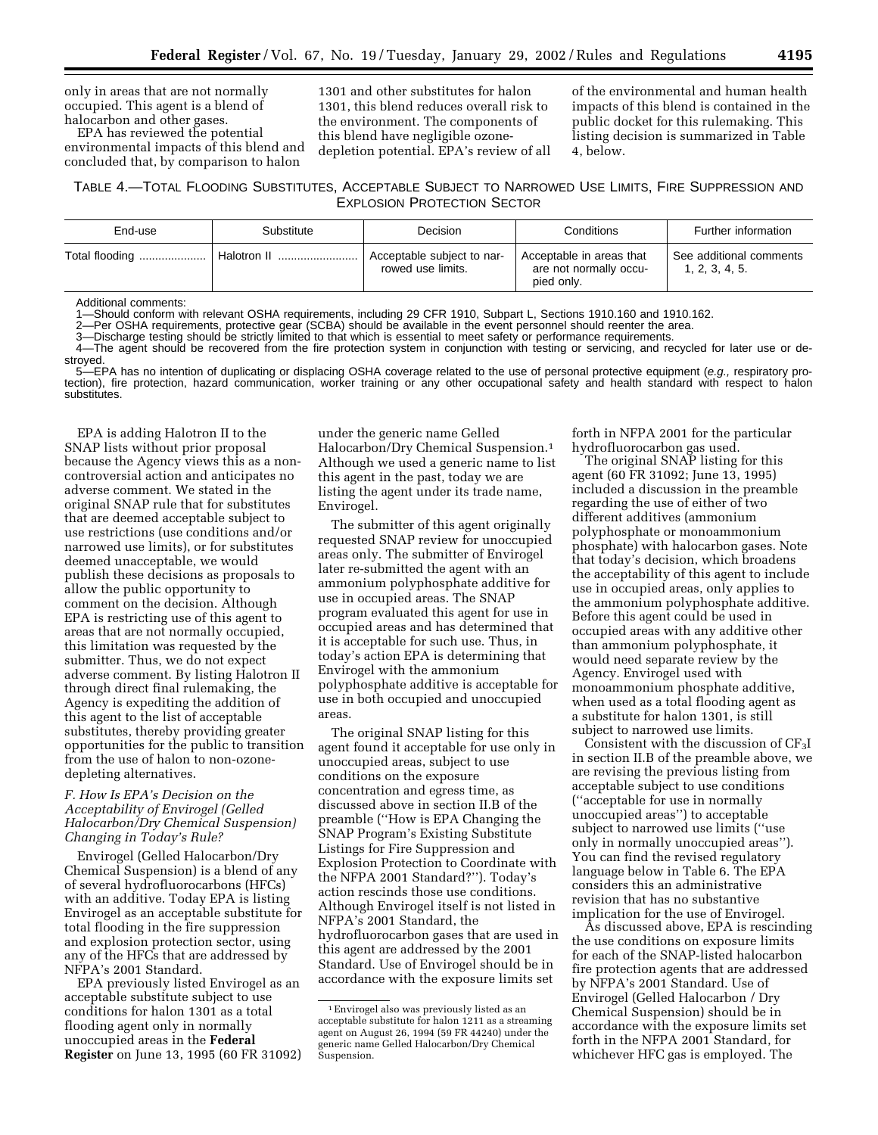only in areas that are not normally occupied. This agent is a blend of halocarbon and other gases.

EPA has reviewed the potential environmental impacts of this blend and concluded that, by comparison to halon

1301 and other substitutes for halon 1301, this blend reduces overall risk to the environment. The components of this blend have negligible ozonedepletion potential. EPA's review of all of the environmental and human health impacts of this blend is contained in the public docket for this rulemaking. This listing decision is summarized in Table 4, below.

# TABLE 4.—TOTAL FLOODING SUBSTITUTES, ACCEPTABLE SUBJECT TO NARROWED USE LIMITS, FIRE SUPPRESSION AND EXPLOSION PROTECTION SECTOR

| End-use        | Substitute  | Decision                                        | Conditions                                                       | Further information                       |
|----------------|-------------|-------------------------------------------------|------------------------------------------------------------------|-------------------------------------------|
| Total flooding | Halotron II | Acceptable subject to nar-<br>rowed use limits. | Acceptable in areas that<br>are not normally occu-<br>pied only. | See additional comments<br>1, 2, 3, 4, 5. |

Additional comments:

1—Should conform with relevant OSHA requirements, including 29 CFR 1910, Subpart L, Sections 1910.160 and 1910.162.

2—Per OSHA requirements, protective gear (SCBA) should be available in the event personnel should reenter the area.

3—Discharge testing should be strictly limited to that which is essential to meet safety or performance requirements.

4—The agent should be recovered from the fire protection system in conjunction with testing or servicing, and recycled for later use or destroyed.

-EPA has no intention of duplicating or displacing OSHA coverage related to the use of personal protective equipment (e.g., respiratory protection), fire protection, hazard communication, worker training or any other occupational safety and health standard with respect to halon substitutes.

EPA is adding Halotron II to the SNAP lists without prior proposal because the Agency views this as a noncontroversial action and anticipates no adverse comment. We stated in the original SNAP rule that for substitutes that are deemed acceptable subject to use restrictions (use conditions and/or narrowed use limits), or for substitutes deemed unacceptable, we would publish these decisions as proposals to allow the public opportunity to comment on the decision. Although EPA is restricting use of this agent to areas that are not normally occupied, this limitation was requested by the submitter. Thus, we do not expect adverse comment. By listing Halotron II through direct final rulemaking, the Agency is expediting the addition of this agent to the list of acceptable substitutes, thereby providing greater opportunities for the public to transition from the use of halon to non-ozonedepleting alternatives.

#### *F. How Is EPA's Decision on the Acceptability of Envirogel (Gelled Halocarbon/Dry Chemical Suspension) Changing in Today's Rule?*

Envirogel (Gelled Halocarbon/Dry Chemical Suspension) is a blend of any of several hydrofluorocarbons (HFCs) with an additive. Today EPA is listing Envirogel as an acceptable substitute for total flooding in the fire suppression and explosion protection sector, using any of the HFCs that are addressed by NFPA's 2001 Standard.

EPA previously listed Envirogel as an acceptable substitute subject to use conditions for halon 1301 as a total flooding agent only in normally unoccupied areas in the **Federal Register** on June 13, 1995 (60 FR 31092) under the generic name Gelled Halocarbon/Dry Chemical Suspension.1 Although we used a generic name to list this agent in the past, today we are listing the agent under its trade name, Envirogel.

The submitter of this agent originally requested SNAP review for unoccupied areas only. The submitter of Envirogel later re-submitted the agent with an ammonium polyphosphate additive for use in occupied areas. The SNAP program evaluated this agent for use in occupied areas and has determined that it is acceptable for such use. Thus, in today's action EPA is determining that Envirogel with the ammonium polyphosphate additive is acceptable for use in both occupied and unoccupied areas.

The original SNAP listing for this agent found it acceptable for use only in unoccupied areas, subject to use conditions on the exposure concentration and egress time, as discussed above in section II.B of the preamble (''How is EPA Changing the SNAP Program's Existing Substitute Listings for Fire Suppression and Explosion Protection to Coordinate with the NFPA 2001 Standard?''). Today's action rescinds those use conditions. Although Envirogel itself is not listed in NFPA's 2001 Standard, the hydrofluorocarbon gases that are used in this agent are addressed by the 2001 Standard. Use of Envirogel should be in accordance with the exposure limits set

forth in NFPA 2001 for the particular hydrofluorocarbon gas used.

The original SNAP listing for this agent (60 FR 31092; June 13, 1995) included a discussion in the preamble regarding the use of either of two different additives (ammonium polyphosphate or monoammonium phosphate) with halocarbon gases. Note that today's decision, which broadens the acceptability of this agent to include use in occupied areas, only applies to the ammonium polyphosphate additive. Before this agent could be used in occupied areas with any additive other than ammonium polyphosphate, it would need separate review by the Agency. Envirogel used with monoammonium phosphate additive, when used as a total flooding agent as a substitute for halon 1301, is still subject to narrowed use limits.

Consistent with the discussion of  $CF_3I$ in section II.B of the preamble above, we are revising the previous listing from acceptable subject to use conditions (''acceptable for use in normally unoccupied areas'') to acceptable subject to narrowed use limits (''use only in normally unoccupied areas''). You can find the revised regulatory language below in Table 6. The EPA considers this an administrative revision that has no substantive implication for the use of Envirogel.

As discussed above, EPA is rescinding the use conditions on exposure limits for each of the SNAP-listed halocarbon fire protection agents that are addressed by NFPA's 2001 Standard. Use of Envirogel (Gelled Halocarbon / Dry Chemical Suspension) should be in accordance with the exposure limits set forth in the NFPA 2001 Standard, for whichever HFC gas is employed. The

<sup>1</sup>Envirogel also was previously listed as an acceptable substitute for halon 1211 as a streaming agent on August 26, 1994 (59 FR 44240) under the generic name Gelled Halocarbon/Dry Chemical Suspension.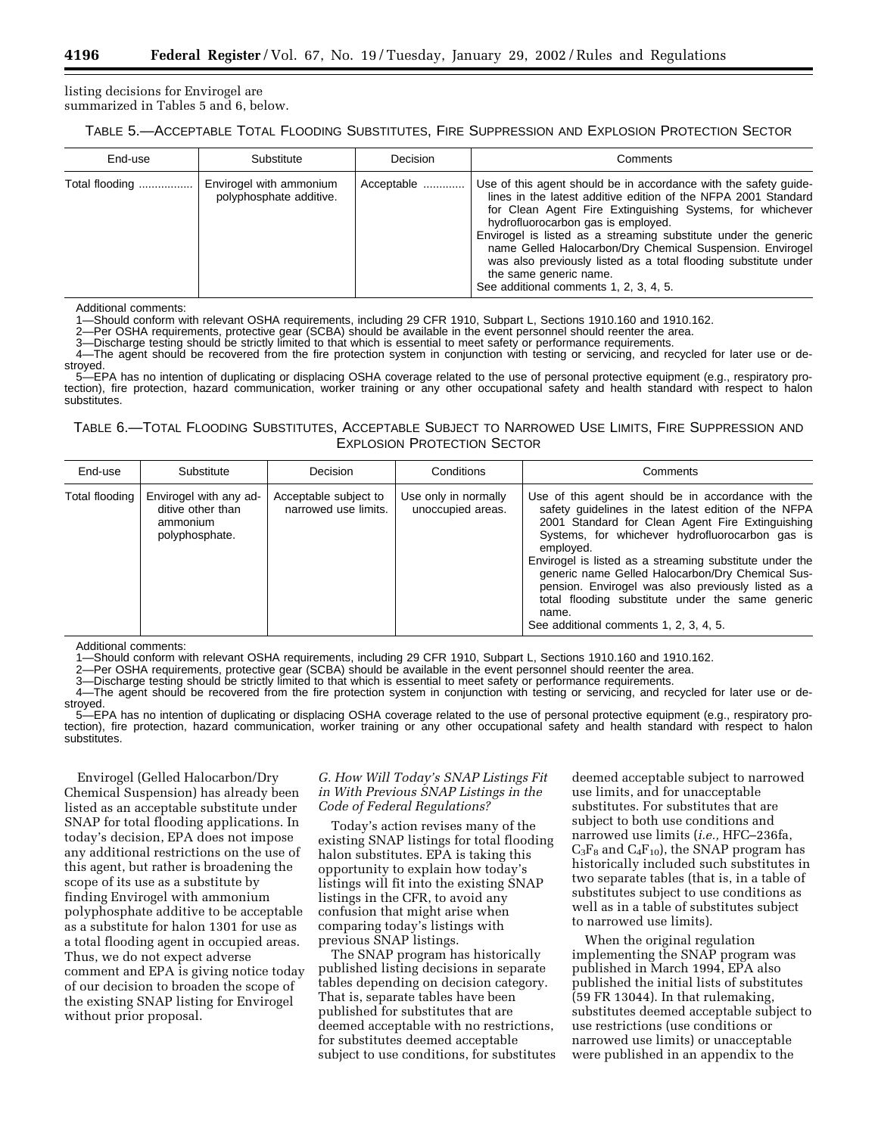listing decisions for Envirogel are summarized in Tables 5 and 6, below.

#### TABLE 5.—ACCEPTABLE TOTAL FLOODING SUBSTITUTES, FIRE SUPPRESSION AND EXPLOSION PROTECTION SECTOR

| End-use        | Substitute                                         | Decision   | Comments                                                                                                                                                                                                                                                                                                                                                                                                                                                                                                     |
|----------------|----------------------------------------------------|------------|--------------------------------------------------------------------------------------------------------------------------------------------------------------------------------------------------------------------------------------------------------------------------------------------------------------------------------------------------------------------------------------------------------------------------------------------------------------------------------------------------------------|
| Total flooding | Envirogel with ammonium<br>polyphosphate additive. | Acceptable | Use of this agent should be in accordance with the safety quide-<br>lines in the latest additive edition of the NFPA 2001 Standard<br>for Clean Agent Fire Extinguishing Systems, for whichever<br>hydrofluorocarbon gas is employed.<br>Envirogel is listed as a streaming substitute under the generic<br>name Gelled Halocarbon/Dry Chemical Suspension. Envirogel<br>was also previously listed as a total flooding substitute under<br>the same generic name.<br>See additional comments 1, 2, 3, 4, 5. |

Additional comments:

1—Should conform with relevant OSHA requirements, including 29 CFR 1910, Subpart L, Sections 1910.160 and 1910.162.<br>2—Per OSHA requirements, protective gear (SCBA) should be available in the event personnel should reenter

2—Per OSHA requirements, protective gear (SCBA) should be available in the event personnel should reenter the area.

3—Discharge testing should be strictly limited to that which is essential to meet safety or performance requirements.<br>4—The agent should be recovered from the fire protection system in conjunction with testing ar conjicing

4—The agent should be recovered from the fire protection system in conjunction with testing or servicing, and recycled for later use or destroyed.

5—EPA has no intention of duplicating or displacing OSHA coverage related to the use of personal protective equipment (e.g., respiratory protection), fire protection, hazard communication, worker training or any other occupational safety and health standard with respect to halon substitutes.

# TABLE 6.—TOTAL FLOODING SUBSTITUTES, ACCEPTABLE SUBJECT TO NARROWED USE LIMITS, FIRE SUPPRESSION AND EXPLOSION PROTECTION SECTOR

| End-use        | Substitute                                                                | Decision                                      | Conditions                                | Comments                                                                                                                                                                                                                                                                                                                                                                                                                                                                                                  |
|----------------|---------------------------------------------------------------------------|-----------------------------------------------|-------------------------------------------|-----------------------------------------------------------------------------------------------------------------------------------------------------------------------------------------------------------------------------------------------------------------------------------------------------------------------------------------------------------------------------------------------------------------------------------------------------------------------------------------------------------|
| Total flooding | Envirogel with any ad-<br>ditive other than<br>ammonium<br>polyphosphate. | Acceptable subject to<br>narrowed use limits. | Use only in normally<br>unoccupied areas. | Use of this agent should be in accordance with the<br>safety quidelines in the latest edition of the NFPA<br>2001 Standard for Clean Agent Fire Extinguishing<br>Systems, for whichever hydrofluorocarbon gas is<br>employed.<br>Envirogel is listed as a streaming substitute under the<br>generic name Gelled Halocarbon/Dry Chemical Sus-<br>pension. Envirogel was also previously listed as a<br>total flooding substitute under the same generic<br>name.<br>See additional comments 1, 2, 3, 4, 5. |

Additional comments:

1—Should conform with relevant OSHA requirements, including 29 CFR 1910, Subpart L, Sections 1910.160 and 1910.162.

2—Per OSHA requirements, protective gear (SCBA) should be available in the event personnel should reenter the area.<br>3—Discharge testing should be strictly limited to that which is essential to meet safety or performance re

3—Discharge testing should be strictly limited to that which is essential to meet safety or performance requirements.

4—The agent should be recovered from the fire protection system in conjunction with testing or servicing, and recycled for later use or destroyed.

5—EPA has no intention of duplicating or displacing OSHA coverage related to the use of personal protective equipment (e.g., respiratory protection), fire protection, hazard communication, worker training or any other occupational safety and health standard with respect to halon substitutes.

Envirogel (Gelled Halocarbon/Dry Chemical Suspension) has already been listed as an acceptable substitute under SNAP for total flooding applications. In today's decision, EPA does not impose any additional restrictions on the use of this agent, but rather is broadening the scope of its use as a substitute by finding Envirogel with ammonium polyphosphate additive to be acceptable as a substitute for halon 1301 for use as a total flooding agent in occupied areas. Thus, we do not expect adverse comment and EPA is giving notice today of our decision to broaden the scope of the existing SNAP listing for Envirogel without prior proposal.

#### *G. How Will Today's SNAP Listings Fit in With Previous SNAP Listings in the Code of Federal Regulations?*

Today's action revises many of the existing SNAP listings for total flooding halon substitutes. EPA is taking this opportunity to explain how today's listings will fit into the existing SNAP listings in the CFR, to avoid any confusion that might arise when comparing today's listings with previous SNAP listings.

The SNAP program has historically published listing decisions in separate tables depending on decision category. That is, separate tables have been published for substitutes that are deemed acceptable with no restrictions, for substitutes deemed acceptable subject to use conditions, for substitutes

deemed acceptable subject to narrowed use limits, and for unacceptable substitutes. For substitutes that are subject to both use conditions and narrowed use limits (*i.e.,* HFC–236fa,  $C_3F_8$  and  $C_4F_{10}$ ), the SNAP program has historically included such substitutes in two separate tables (that is, in a table of substitutes subject to use conditions as well as in a table of substitutes subject to narrowed use limits).

When the original regulation implementing the SNAP program was published in March 1994, EPA also published the initial lists of substitutes (59 FR 13044). In that rulemaking, substitutes deemed acceptable subject to use restrictions (use conditions or narrowed use limits) or unacceptable were published in an appendix to the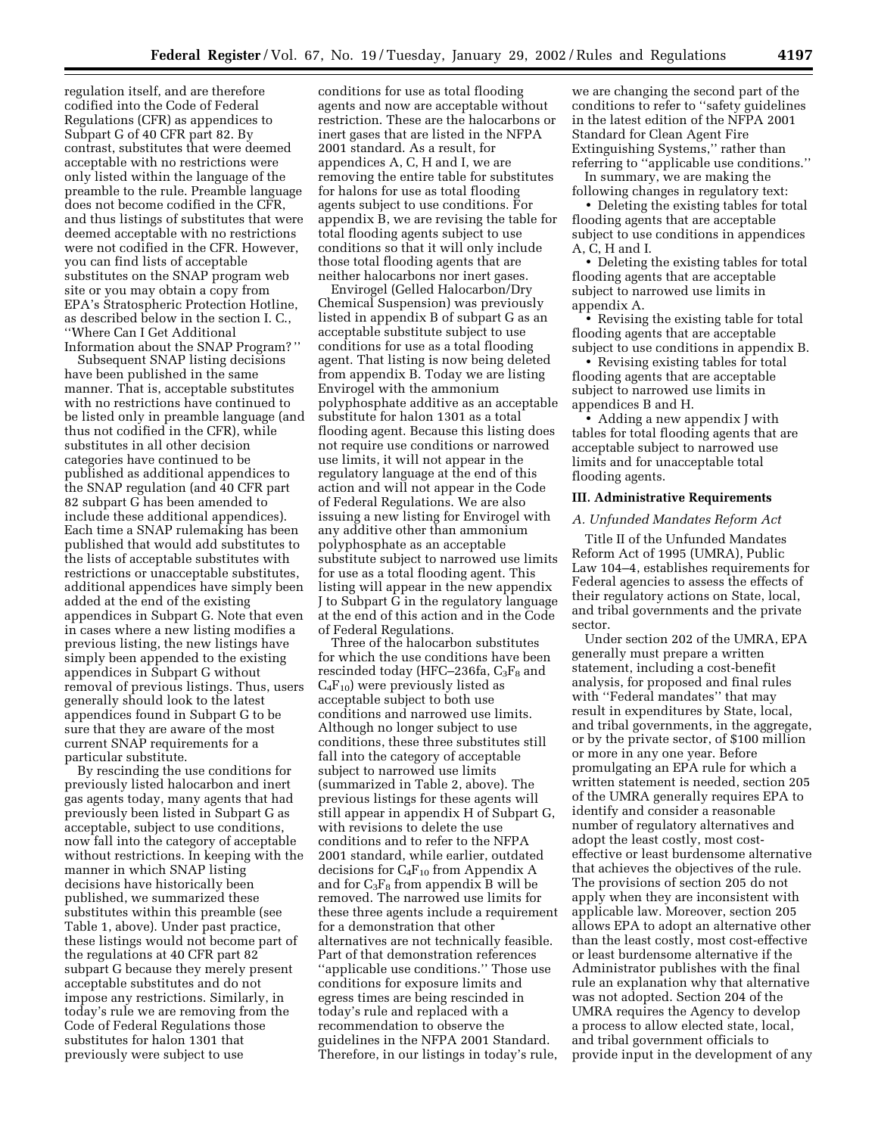regulation itself, and are therefore codified into the Code of Federal Regulations (CFR) as appendices to Subpart G of 40 CFR part 82. By contrast, substitutes that were deemed acceptable with no restrictions were only listed within the language of the preamble to the rule. Preamble language does not become codified in the CFR, and thus listings of substitutes that were deemed acceptable with no restrictions were not codified in the CFR. However, you can find lists of acceptable substitutes on the SNAP program web site or you may obtain a copy from EPA's Stratospheric Protection Hotline, as described below in the section I. C., ''Where Can I Get Additional Information about the SNAP Program? ''

Subsequent SNAP listing decisions have been published in the same manner. That is, acceptable substitutes with no restrictions have continued to be listed only in preamble language (and thus not codified in the CFR), while substitutes in all other decision categories have continued to be published as additional appendices to the SNAP regulation (and 40 CFR part 82 subpart G has been amended to include these additional appendices). Each time a SNAP rulemaking has been published that would add substitutes to the lists of acceptable substitutes with restrictions or unacceptable substitutes, additional appendices have simply been added at the end of the existing appendices in Subpart G. Note that even in cases where a new listing modifies a previous listing, the new listings have simply been appended to the existing appendices in Subpart G without removal of previous listings. Thus, users generally should look to the latest appendices found in Subpart G to be sure that they are aware of the most current SNAP requirements for a particular substitute.

By rescinding the use conditions for previously listed halocarbon and inert gas agents today, many agents that had previously been listed in Subpart G as acceptable, subject to use conditions, now fall into the category of acceptable without restrictions. In keeping with the manner in which SNAP listing decisions have historically been published, we summarized these substitutes within this preamble (see Table 1, above). Under past practice, these listings would not become part of the regulations at 40 CFR part 82 subpart G because they merely present acceptable substitutes and do not impose any restrictions. Similarly, in today's rule we are removing from the Code of Federal Regulations those substitutes for halon 1301 that previously were subject to use

conditions for use as total flooding agents and now are acceptable without restriction. These are the halocarbons or inert gases that are listed in the NFPA 2001 standard. As a result, for appendices A, C, H and I, we are removing the entire table for substitutes for halons for use as total flooding agents subject to use conditions. For appendix B, we are revising the table for total flooding agents subject to use conditions so that it will only include those total flooding agents that are neither halocarbons nor inert gases.

Envirogel (Gelled Halocarbon/Dry Chemical Suspension) was previously listed in appendix B of subpart G as an acceptable substitute subject to use conditions for use as a total flooding agent. That listing is now being deleted from appendix B. Today we are listing Envirogel with the ammonium polyphosphate additive as an acceptable substitute for halon 1301 as a total flooding agent. Because this listing does not require use conditions or narrowed use limits, it will not appear in the regulatory language at the end of this action and will not appear in the Code of Federal Regulations. We are also issuing a new listing for Envirogel with any additive other than ammonium polyphosphate as an acceptable substitute subject to narrowed use limits for use as a total flooding agent. This listing will appear in the new appendix J to Subpart G in the regulatory language at the end of this action and in the Code of Federal Regulations.

Three of the halocarbon substitutes for which the use conditions have been rescinded today (HFC–236fa,  $C_3F_8$  and  $\rm{C_4F_{10}}$  were previously listed as acceptable subject to both use conditions and narrowed use limits. Although no longer subject to use conditions, these three substitutes still fall into the category of acceptable subject to narrowed use limits (summarized in Table 2, above). The previous listings for these agents will still appear in appendix H of Subpart G, with revisions to delete the use conditions and to refer to the NFPA 2001 standard, while earlier, outdated decisions for  $C_4F_{10}$  from Appendix A and for  $C_3F_8$  from appendix B will be removed. The narrowed use limits for these three agents include a requirement for a demonstration that other alternatives are not technically feasible. Part of that demonstration references ''applicable use conditions.'' Those use conditions for exposure limits and egress times are being rescinded in today's rule and replaced with a recommendation to observe the guidelines in the NFPA 2001 Standard. Therefore, in our listings in today's rule,

we are changing the second part of the conditions to refer to ''safety guidelines in the latest edition of the NFPA 2001 Standard for Clean Agent Fire Extinguishing Systems,'' rather than referring to ''applicable use conditions.''

In summary, we are making the following changes in regulatory text:

• Deleting the existing tables for total flooding agents that are acceptable subject to use conditions in appendices A, C, H and I.

• Deleting the existing tables for total flooding agents that are acceptable subject to narrowed use limits in appendix A.

• Revising the existing table for total flooding agents that are acceptable subject to use conditions in appendix B.

• Revising existing tables for total flooding agents that are acceptable subject to narrowed use limits in appendices B and H.

• Adding a new appendix J with tables for total flooding agents that are acceptable subject to narrowed use limits and for unacceptable total flooding agents.

#### **III. Administrative Requirements**

# *A. Unfunded Mandates Reform Act*

Title II of the Unfunded Mandates Reform Act of 1995 (UMRA), Public Law 104–4, establishes requirements for Federal agencies to assess the effects of their regulatory actions on State, local, and tribal governments and the private sector.

Under section 202 of the UMRA, EPA generally must prepare a written statement, including a cost-benefit analysis, for proposed and final rules with ''Federal mandates'' that may result in expenditures by State, local, and tribal governments, in the aggregate, or by the private sector, of \$100 million or more in any one year. Before promulgating an EPA rule for which a written statement is needed, section 205 of the UMRA generally requires EPA to identify and consider a reasonable number of regulatory alternatives and adopt the least costly, most costeffective or least burdensome alternative that achieves the objectives of the rule. The provisions of section 205 do not apply when they are inconsistent with applicable law. Moreover, section 205 allows EPA to adopt an alternative other than the least costly, most cost-effective or least burdensome alternative if the Administrator publishes with the final rule an explanation why that alternative was not adopted. Section 204 of the UMRA requires the Agency to develop a process to allow elected state, local, and tribal government officials to provide input in the development of any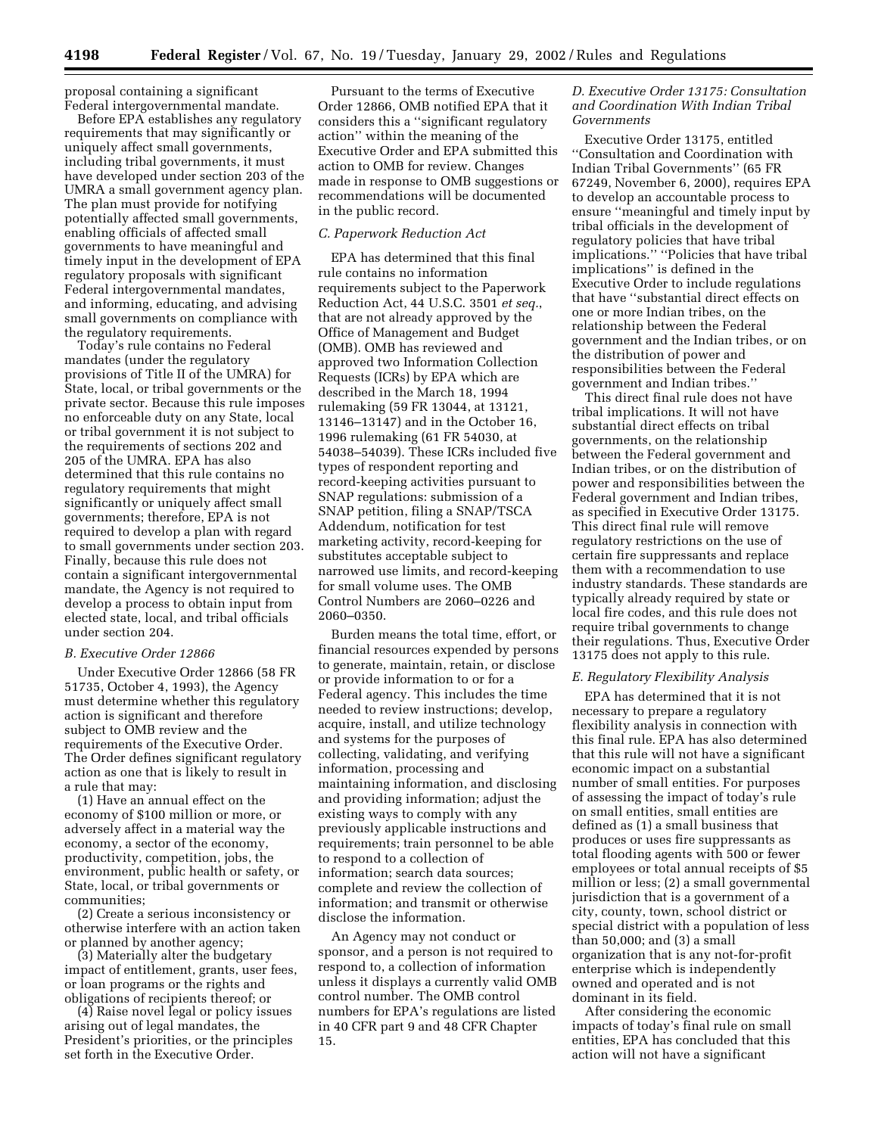proposal containing a significant Federal intergovernmental mandate.

Before EPA establishes any regulatory requirements that may significantly or uniquely affect small governments, including tribal governments, it must have developed under section 203 of the UMRA a small government agency plan. The plan must provide for notifying potentially affected small governments, enabling officials of affected small governments to have meaningful and timely input in the development of EPA regulatory proposals with significant Federal intergovernmental mandates, and informing, educating, and advising small governments on compliance with the regulatory requirements.

Today's rule contains no Federal mandates (under the regulatory provisions of Title II of the UMRA) for State, local, or tribal governments or the private sector. Because this rule imposes no enforceable duty on any State, local or tribal government it is not subject to the requirements of sections 202 and 205 of the UMRA. EPA has also determined that this rule contains no regulatory requirements that might significantly or uniquely affect small governments; therefore, EPA is not required to develop a plan with regard to small governments under section 203. Finally, because this rule does not contain a significant intergovernmental mandate, the Agency is not required to develop a process to obtain input from elected state, local, and tribal officials under section 204.

#### *B. Executive Order 12866*

Under Executive Order 12866 (58 FR 51735, October 4, 1993), the Agency must determine whether this regulatory action is significant and therefore subject to OMB review and the requirements of the Executive Order. The Order defines significant regulatory action as one that is likely to result in a rule that may:

(1) Have an annual effect on the economy of \$100 million or more, or adversely affect in a material way the economy, a sector of the economy, productivity, competition, jobs, the environment, public health or safety, or State, local, or tribal governments or communities;

(2) Create a serious inconsistency or otherwise interfere with an action taken or planned by another agency;

(3) Materially alter the budgetary impact of entitlement, grants, user fees, or loan programs or the rights and obligations of recipients thereof; or

(4) Raise novel legal or policy issues arising out of legal mandates, the President's priorities, or the principles set forth in the Executive Order.

Pursuant to the terms of Executive Order 12866, OMB notified EPA that it considers this a ''significant regulatory action'' within the meaning of the Executive Order and EPA submitted this action to OMB for review. Changes made in response to OMB suggestions or recommendations will be documented in the public record.

#### *C. Paperwork Reduction Act*

EPA has determined that this final rule contains no information requirements subject to the Paperwork Reduction Act, 44 U.S.C. 3501 *et seq.*, that are not already approved by the Office of Management and Budget (OMB). OMB has reviewed and approved two Information Collection Requests (ICRs) by EPA which are described in the March 18, 1994 rulemaking (59 FR 13044, at 13121, 13146–13147) and in the October 16, 1996 rulemaking (61 FR 54030, at 54038–54039). These ICRs included five types of respondent reporting and record-keeping activities pursuant to SNAP regulations: submission of a SNAP petition, filing a SNAP/TSCA Addendum, notification for test marketing activity, record-keeping for substitutes acceptable subject to narrowed use limits, and record-keeping for small volume uses. The OMB Control Numbers are 2060–0226 and 2060–0350.

Burden means the total time, effort, or financial resources expended by persons to generate, maintain, retain, or disclose or provide information to or for a Federal agency. This includes the time needed to review instructions; develop, acquire, install, and utilize technology and systems for the purposes of collecting, validating, and verifying information, processing and maintaining information, and disclosing and providing information; adjust the existing ways to comply with any previously applicable instructions and requirements; train personnel to be able to respond to a collection of information; search data sources; complete and review the collection of information; and transmit or otherwise disclose the information.

An Agency may not conduct or sponsor, and a person is not required to respond to, a collection of information unless it displays a currently valid OMB control number. The OMB control numbers for EPA's regulations are listed in 40 CFR part 9 and 48 CFR Chapter 15.

#### *D. Executive Order 13175: Consultation and Coordination With Indian Tribal Governments*

Executive Order 13175, entitled ''Consultation and Coordination with Indian Tribal Governments'' (65 FR 67249, November 6, 2000), requires EPA to develop an accountable process to ensure ''meaningful and timely input by tribal officials in the development of regulatory policies that have tribal implications.'' ''Policies that have tribal implications'' is defined in the Executive Order to include regulations that have ''substantial direct effects on one or more Indian tribes, on the relationship between the Federal government and the Indian tribes, or on the distribution of power and responsibilities between the Federal government and Indian tribes.''

This direct final rule does not have tribal implications. It will not have substantial direct effects on tribal governments, on the relationship between the Federal government and Indian tribes, or on the distribution of power and responsibilities between the Federal government and Indian tribes, as specified in Executive Order 13175. This direct final rule will remove regulatory restrictions on the use of certain fire suppressants and replace them with a recommendation to use industry standards. These standards are typically already required by state or local fire codes, and this rule does not require tribal governments to change their regulations. Thus, Executive Order 13175 does not apply to this rule.

#### *E. Regulatory Flexibility Analysis*

EPA has determined that it is not necessary to prepare a regulatory flexibility analysis in connection with this final rule. EPA has also determined that this rule will not have a significant economic impact on a substantial number of small entities. For purposes of assessing the impact of today's rule on small entities, small entities are defined as (1) a small business that produces or uses fire suppressants as total flooding agents with 500 or fewer employees or total annual receipts of \$5 million or less; (2) a small governmental jurisdiction that is a government of a city, county, town, school district or special district with a population of less than 50,000; and (3) a small organization that is any not-for-profit enterprise which is independently owned and operated and is not dominant in its field.

After considering the economic impacts of today's final rule on small entities, EPA has concluded that this action will not have a significant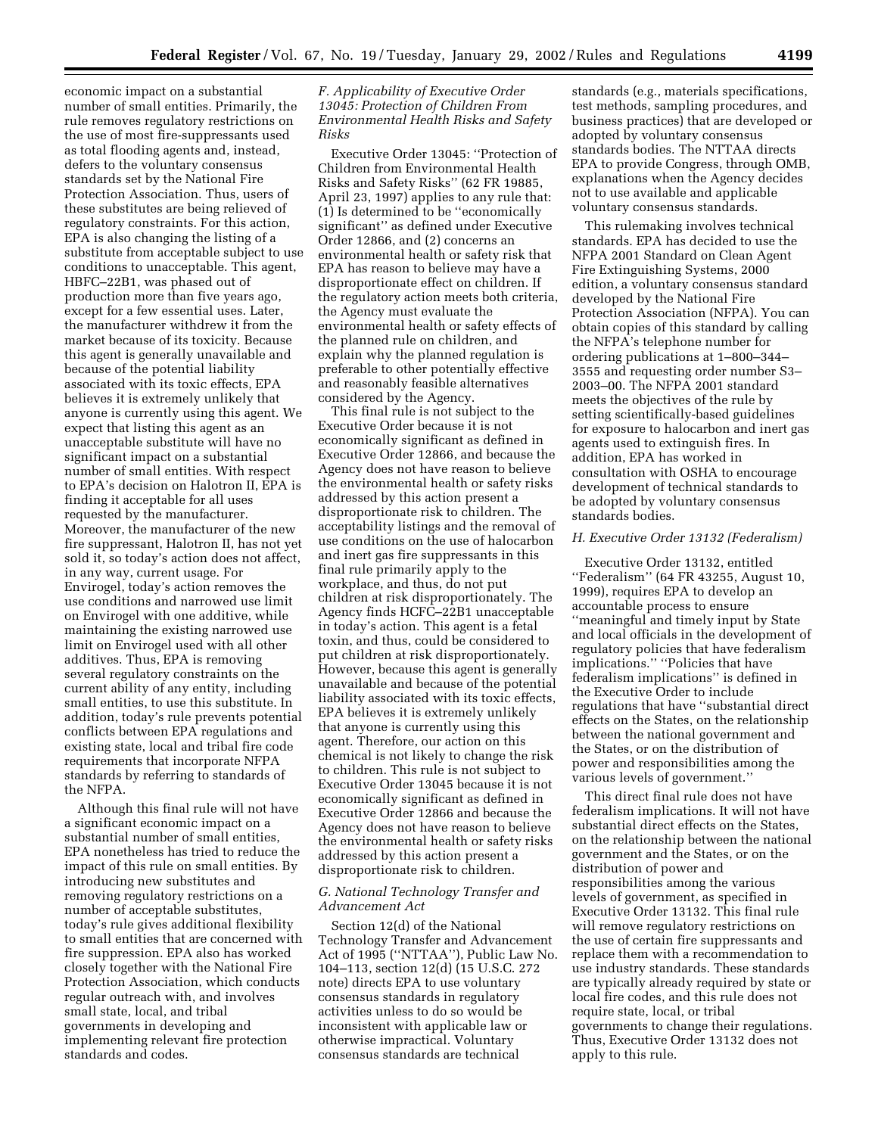economic impact on a substantial number of small entities. Primarily, the rule removes regulatory restrictions on the use of most fire-suppressants used as total flooding agents and, instead, defers to the voluntary consensus standards set by the National Fire Protection Association. Thus, users of these substitutes are being relieved of regulatory constraints. For this action, EPA is also changing the listing of a substitute from acceptable subject to use conditions to unacceptable. This agent, HBFC–22B1, was phased out of production more than five years ago, except for a few essential uses. Later, the manufacturer withdrew it from the market because of its toxicity. Because this agent is generally unavailable and because of the potential liability associated with its toxic effects, EPA believes it is extremely unlikely that anyone is currently using this agent. We expect that listing this agent as an unacceptable substitute will have no significant impact on a substantial number of small entities. With respect to EPA's decision on Halotron II, EPA is finding it acceptable for all uses requested by the manufacturer. Moreover, the manufacturer of the new fire suppressant, Halotron II, has not yet sold it, so today's action does not affect, in any way, current usage. For Envirogel, today's action removes the use conditions and narrowed use limit on Envirogel with one additive, while maintaining the existing narrowed use limit on Envirogel used with all other additives. Thus, EPA is removing several regulatory constraints on the current ability of any entity, including small entities, to use this substitute. In addition, today's rule prevents potential conflicts between EPA regulations and existing state, local and tribal fire code requirements that incorporate NFPA standards by referring to standards of the NFPA.

Although this final rule will not have a significant economic impact on a substantial number of small entities, EPA nonetheless has tried to reduce the impact of this rule on small entities. By introducing new substitutes and removing regulatory restrictions on a number of acceptable substitutes, today's rule gives additional flexibility to small entities that are concerned with fire suppression. EPA also has worked closely together with the National Fire Protection Association, which conducts regular outreach with, and involves small state, local, and tribal governments in developing and implementing relevant fire protection standards and codes.

#### *F. Applicability of Executive Order 13045: Protection of Children From Environmental Health Risks and Safety Risks*

Executive Order 13045: ''Protection of Children from Environmental Health Risks and Safety Risks'' (62 FR 19885, April 23, 1997) applies to any rule that: (1) Is determined to be ''economically significant'' as defined under Executive Order 12866, and (2) concerns an environmental health or safety risk that EPA has reason to believe may have a disproportionate effect on children. If the regulatory action meets both criteria, the Agency must evaluate the environmental health or safety effects of the planned rule on children, and explain why the planned regulation is preferable to other potentially effective and reasonably feasible alternatives considered by the Agency.

This final rule is not subject to the Executive Order because it is not economically significant as defined in Executive Order 12866, and because the Agency does not have reason to believe the environmental health or safety risks addressed by this action present a disproportionate risk to children. The acceptability listings and the removal of use conditions on the use of halocarbon and inert gas fire suppressants in this final rule primarily apply to the workplace, and thus, do not put children at risk disproportionately. The Agency finds HCFC–22B1 unacceptable in today's action. This agent is a fetal toxin, and thus, could be considered to put children at risk disproportionately. However, because this agent is generally unavailable and because of the potential liability associated with its toxic effects, EPA believes it is extremely unlikely that anyone is currently using this agent. Therefore, our action on this chemical is not likely to change the risk to children. This rule is not subject to Executive Order 13045 because it is not economically significant as defined in Executive Order 12866 and because the Agency does not have reason to believe the environmental health or safety risks addressed by this action present a disproportionate risk to children.

#### *G. National Technology Transfer and Advancement Act*

Section 12(d) of the National Technology Transfer and Advancement Act of 1995 (''NTTAA''), Public Law No. 104–113, section 12(d) (15 U.S.C. 272 note) directs EPA to use voluntary consensus standards in regulatory activities unless to do so would be inconsistent with applicable law or otherwise impractical. Voluntary consensus standards are technical

standards (e.g., materials specifications, test methods, sampling procedures, and business practices) that are developed or adopted by voluntary consensus standards bodies. The NTTAA directs EPA to provide Congress, through OMB, explanations when the Agency decides not to use available and applicable voluntary consensus standards.

This rulemaking involves technical standards. EPA has decided to use the NFPA 2001 Standard on Clean Agent Fire Extinguishing Systems, 2000 edition, a voluntary consensus standard developed by the National Fire Protection Association (NFPA). You can obtain copies of this standard by calling the NFPA's telephone number for ordering publications at 1–800–344– 3555 and requesting order number S3– 2003–00. The NFPA 2001 standard meets the objectives of the rule by setting scientifically-based guidelines for exposure to halocarbon and inert gas agents used to extinguish fires. In addition, EPA has worked in consultation with OSHA to encourage development of technical standards to be adopted by voluntary consensus standards bodies.

# *H. Executive Order 13132 (Federalism)*

Executive Order 13132, entitled ''Federalism'' (64 FR 43255, August 10, 1999), requires EPA to develop an accountable process to ensure ''meaningful and timely input by State and local officials in the development of regulatory policies that have federalism implications.'' ''Policies that have federalism implications'' is defined in the Executive Order to include regulations that have ''substantial direct effects on the States, on the relationship between the national government and the States, or on the distribution of power and responsibilities among the various levels of government.''

This direct final rule does not have federalism implications. It will not have substantial direct effects on the States, on the relationship between the national government and the States, or on the distribution of power and responsibilities among the various levels of government, as specified in Executive Order 13132. This final rule will remove regulatory restrictions on the use of certain fire suppressants and replace them with a recommendation to use industry standards. These standards are typically already required by state or local fire codes, and this rule does not require state, local, or tribal governments to change their regulations. Thus, Executive Order 13132 does not apply to this rule.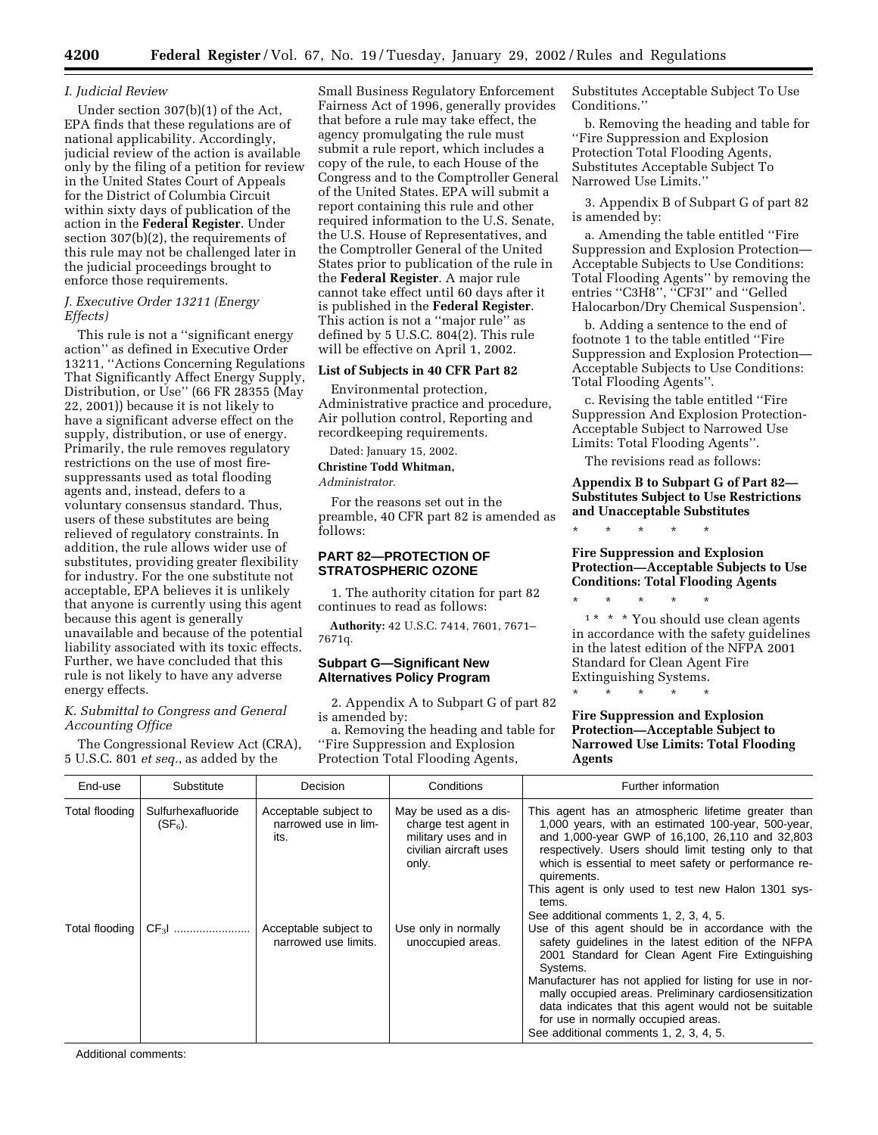#### *I. Judicial Review*

Under section 307(b)(1) of the Act, EPA finds that these regulations are of national applicability. Accordingly, judicial review of the action is available only by the filing of a petition for review in the United States Court of Appeals for the District of Columbia Circuit within sixty days of publication of the action in the **Federal Register**. Under section 307(b)(2), the requirements of this rule may not be challenged later in the judicial proceedings brought to enforce those requirements.

#### *J. Executive Order 13211 (Energy Effects)*

This rule is not a ''significant energy action'' as defined in Executive Order 13211, ''Actions Concerning Regulations That Significantly Affect Energy Supply, Distribution, or Use'' (66 FR 28355 (May 22, 2001)) because it is not likely to have a significant adverse effect on the supply, distribution, or use of energy. Primarily, the rule removes regulatory restrictions on the use of most firesuppressants used as total flooding agents and, instead, defers to a voluntary consensus standard. Thus, users of these substitutes are being relieved of regulatory constraints. In addition, the rule allows wider use of substitutes, providing greater flexibility for industry. For the one substitute not acceptable, EPA believes it is unlikely that anyone is currently using this agent because this agent is generally unavailable and because of the potential liability associated with its toxic effects. Further, we have concluded that this rule is not likely to have any adverse energy effects.

#### *K. Submittal to Congress and General Accounting Office*

The Congressional Review Act (CRA), 5 U.S.C. 801 *et seq.*, as added by the

Small Business Regulatory Enforcement Fairness Act of 1996, generally provides that before a rule may take effect, the agency promulgating the rule must submit a rule report, which includes a copy of the rule, to each House of the Congress and to the Comptroller General of the United States. EPA will submit a report containing this rule and other required information to the U.S. Senate, the U.S. House of Representatives, and the Comptroller General of the United States prior to publication of the rule in the **Federal Register**. A major rule cannot take effect until 60 days after it is published in the **Federal Register**. This action is not a ''major rule'' as defined by 5 U.S.C. 804(2). This rule will be effective on April 1, 2002.

# **List of Subjects in 40 CFR Part 82**

Environmental protection, Administrative practice and procedure, Air pollution control, Reporting and recordkeeping requirements.

Dated: January 15, 2002. **Christine Todd Whitman,** *Administrator.*

For the reasons set out in the preamble, 40 CFR part 82 is amended as follows:

#### **PART 82—PROTECTION OF STRATOSPHERIC OZONE**

1. The authority citation for part 82 continues to read as follows:

**Authority:** 42 U.S.C. 7414, 7601, 7671– 7671q.

#### **Subpart G—Significant New Alternatives Policy Program**

2. Appendix A to Subpart G of part 82 is amended by:

a. Removing the heading and table for ''Fire Suppression and Explosion Protection Total Flooding Agents,

Substitutes Acceptable Subject To Use Conditions.''

b. Removing the heading and table for ''Fire Suppression and Explosion Protection Total Flooding Agents, Substitutes Acceptable Subject To Narrowed Use Limits.''

3. Appendix B of Subpart G of part 82 is amended by:

a. Amending the table entitled ''Fire Suppression and Explosion Protection— Acceptable Subjects to Use Conditions: Total Flooding Agents'' by removing the entries "C3H8", "CF3I" and "Gelled Halocarbon/Dry Chemical Suspension'.

b. Adding a sentence to the end of footnote 1 to the table entitled ''Fire Suppression and Explosion Protection— Acceptable Subjects to Use Conditions: Total Flooding Agents''.

c. Revising the table entitled ''Fire Suppression And Explosion Protection-Acceptable Subject to Narrowed Use Limits: Total Flooding Agents''.

The revisions read as follows:

# **Appendix B to Subpart G of Part 82— Substitutes Subject to Use Restrictions and Unacceptable Substitutes**

\* \* \* \* \*

\* \* \* \* \*

**Fire Suppression and Explosion Protection—Acceptable Subjects to Use Conditions: Total Flooding Agents**

\* \* \* \* \* 1 \* \* \* You should use clean agents in accordance with the safety guidelines in the latest edition of the NFPA 2001 Standard for Clean Agent Fire Extinguishing Systems.

**Fire Suppression and Explosion Protection—Acceptable Subject to Narrowed Use Limits: Total Flooding Agents**

| End-use        | Substitute                       | <b>Decision</b>                                       | Conditions                                                                                               | Further information                                                                                                                                                                                                                                                                                                                                                                                                                                                               |
|----------------|----------------------------------|-------------------------------------------------------|----------------------------------------------------------------------------------------------------------|-----------------------------------------------------------------------------------------------------------------------------------------------------------------------------------------------------------------------------------------------------------------------------------------------------------------------------------------------------------------------------------------------------------------------------------------------------------------------------------|
| Total flooding | Sulfurhexafluoride<br>$(SF_6)$ . | Acceptable subject to<br>narrowed use in lim-<br>its. | May be used as a dis-<br>charge test agent in<br>military uses and in<br>civilian aircraft uses<br>only. | This agent has an atmospheric lifetime greater than<br>1,000 years, with an estimated 100-year, 500-year,<br>and 1,000-year GWP of 16,100, 26,110 and 32,803<br>respectively. Users should limit testing only to that<br>which is essential to meet safety or performance re-<br>quirements.<br>This agent is only used to test new Halon 1301 sys-<br>tems.                                                                                                                      |
| Total flooding | CF <sub>3</sub> I                | Acceptable subject to<br>narrowed use limits.         | Use only in normally<br>unoccupied areas.                                                                | See additional comments 1, 2, 3, 4, 5.<br>Use of this agent should be in accordance with the<br>safety quidelines in the latest edition of the NFPA<br>2001 Standard for Clean Agent Fire Extinguishing<br>Systems.<br>Manufacturer has not applied for listing for use in nor-<br>mally occupied areas. Preliminary cardiosensitization<br>data indicates that this agent would not be suitable<br>for use in normally occupied areas.<br>See additional comments 1, 2, 3, 4, 5. |

Additional comments: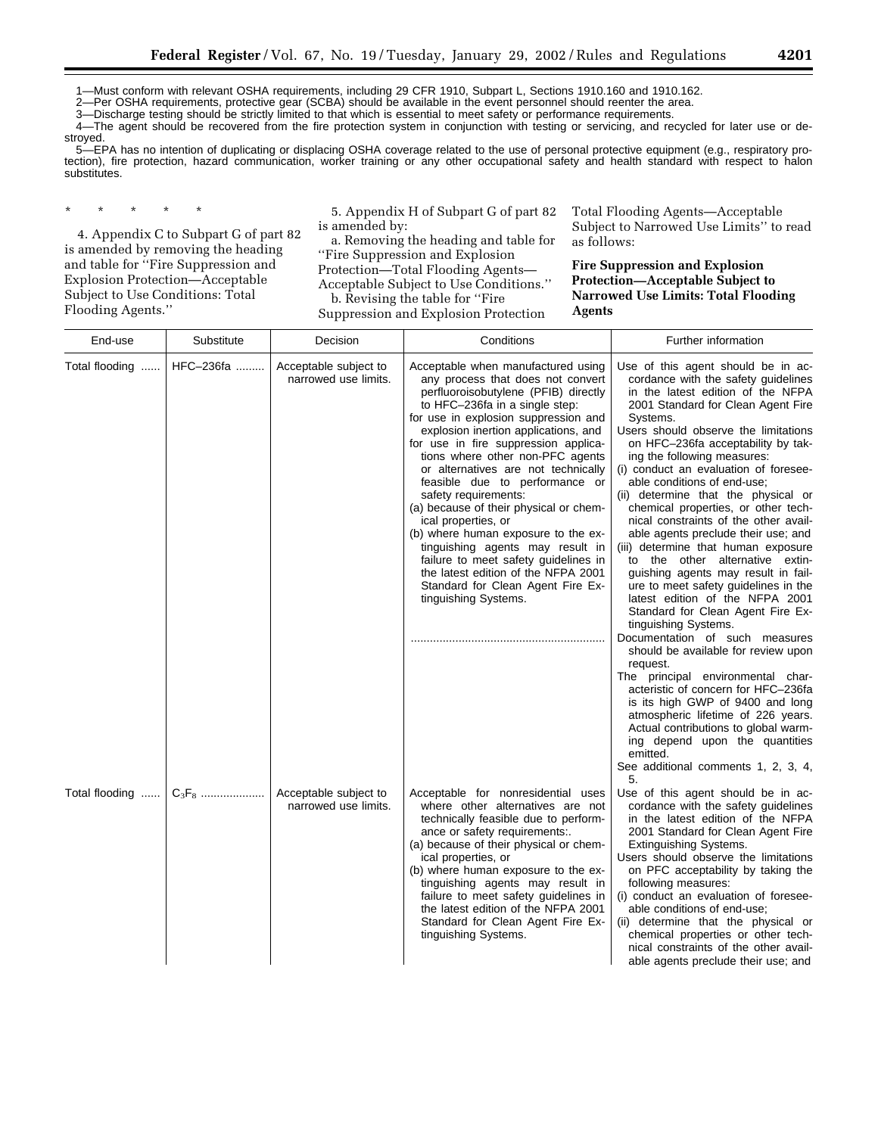1—Must conform with relevant OSHA requirements, including 29 CFR 1910, Subpart L, Sections 1910.160 and 1910.162.

2—Per OSHA requirements, protective gear (SCBA) should be available in the event personnel should reenter the area. 3—Discharge testing should be strictly limited to that which is essential to meet safety or performance requirements.

4—The agent should be recovered from the fire protection system in conjunction with testing or servicing, and recycled for later use or de-

stroyed.

5—EPA has no intention of duplicating or displacing OSHA coverage related to the use of personal protective equipment (e.g., respiratory protection), fire protection, hazard communication, worker training or any other occupational safety and health standard with respect to halon substitutes.

\* \* \* \* \*

Flooding Agents.''

4. Appendix C to Subpart G of part 82 is amended by removing the heading and table for ''Fire Suppression and Explosion Protection—Acceptable Subject to Use Conditions: Total

5. Appendix H of Subpart G of part 82 is amended by:

a. Removing the heading and table for ''Fire Suppression and Explosion

Protection—Total Flooding Agents—

Acceptable Subject to Use Conditions.'' b. Revising the table for ''Fire

Suppression and Explosion Protection

Total Flooding Agents—Acceptable Subject to Narrowed Use Limits'' to read as follows:

**Fire Suppression and Explosion Protection—Acceptable Subject to Narrowed Use Limits: Total Flooding Agents**

| End-use                 | Substitute | Decision                                      | Conditions                                                                                                                                                                                                                                                                                                                                                                                                                                                                                                                                                                                                                                                                                             | Further information                                                                                                                                                                                                                                                                                                                                                                                                                                                                                                                                                                                                                                                                                                                                                                                                                                                                                                                                                               |
|-------------------------|------------|-----------------------------------------------|--------------------------------------------------------------------------------------------------------------------------------------------------------------------------------------------------------------------------------------------------------------------------------------------------------------------------------------------------------------------------------------------------------------------------------------------------------------------------------------------------------------------------------------------------------------------------------------------------------------------------------------------------------------------------------------------------------|-----------------------------------------------------------------------------------------------------------------------------------------------------------------------------------------------------------------------------------------------------------------------------------------------------------------------------------------------------------------------------------------------------------------------------------------------------------------------------------------------------------------------------------------------------------------------------------------------------------------------------------------------------------------------------------------------------------------------------------------------------------------------------------------------------------------------------------------------------------------------------------------------------------------------------------------------------------------------------------|
| Total flooding          | HFC-236fa  | Acceptable subject to<br>narrowed use limits. | Acceptable when manufactured using<br>any process that does not convert<br>perfluoroisobutylene (PFIB) directly<br>to HFC-236fa in a single step:<br>for use in explosion suppression and<br>explosion inertion applications, and<br>for use in fire suppression applica-<br>tions where other non-PFC agents<br>or alternatives are not technically<br>feasible due to performance or<br>safety requirements:<br>(a) because of their physical or chem-<br>ical properties, or<br>(b) where human exposure to the ex-<br>tinguishing agents may result in<br>failure to meet safety guidelines in<br>the latest edition of the NFPA 2001<br>Standard for Clean Agent Fire Ex-<br>tinguishing Systems. | Use of this agent should be in ac-<br>cordance with the safety guidelines<br>in the latest edition of the NFPA<br>2001 Standard for Clean Agent Fire<br>Systems.<br>Users should observe the limitations<br>on HFC-236fa acceptability by tak-<br>ing the following measures:<br>(i) conduct an evaluation of foresee-<br>able conditions of end-use;<br>(ii) determine that the physical or<br>chemical properties, or other tech-<br>nical constraints of the other avail-<br>able agents preclude their use; and<br>(iii) determine that human exposure<br>to the other alternative extin-<br>guishing agents may result in fail-<br>ure to meet safety guidelines in the<br>latest edition of the NFPA 2001<br>Standard for Clean Agent Fire Ex-<br>tinguishing Systems.<br>Documentation of such measures<br>should be available for review upon<br>request.<br>The principal environmental char-<br>acteristic of concern for HFC-236fa<br>is its high GWP of 9400 and long |
| Total flooding $C_3F_8$ |            | Acceptable subject to                         | Acceptable for nonresidential uses                                                                                                                                                                                                                                                                                                                                                                                                                                                                                                                                                                                                                                                                     | atmospheric lifetime of 226 years.<br>Actual contributions to global warm-<br>ing depend upon the quantities<br>emitted.<br>See additional comments 1, 2, 3, 4,<br>5.<br>Use of this agent should be in ac-                                                                                                                                                                                                                                                                                                                                                                                                                                                                                                                                                                                                                                                                                                                                                                       |
|                         |            | narrowed use limits.                          | where other alternatives are not<br>technically feasible due to perform-<br>ance or safety requirements:.<br>(a) because of their physical or chem-<br>ical properties, or<br>(b) where human exposure to the ex-<br>tinguishing agents may result in<br>failure to meet safety guidelines in<br>the latest edition of the NFPA 2001<br>Standard for Clean Agent Fire Ex-<br>tinguishing Systems.                                                                                                                                                                                                                                                                                                      | cordance with the safety guidelines<br>in the latest edition of the NFPA<br>2001 Standard for Clean Agent Fire<br>Extinguishing Systems.<br>Users should observe the limitations<br>on PFC acceptability by taking the<br>following measures:<br>(i) conduct an evaluation of foresee-<br>able conditions of end-use;<br>(ii) determine that the physical or<br>chemical properties or other tech-<br>nical constraints of the other avail-<br>able agents preclude their use; and                                                                                                                                                                                                                                                                                                                                                                                                                                                                                                |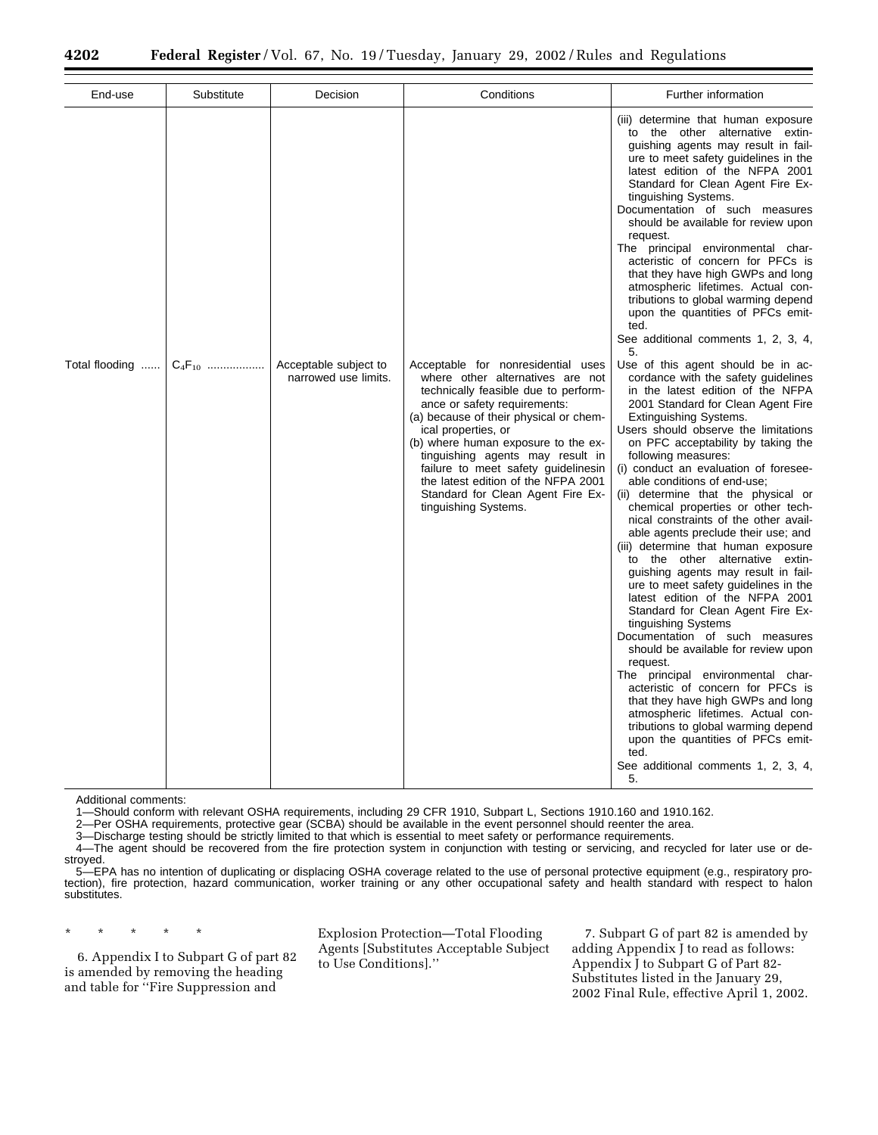| End-use                          | Substitute | Decision                                      | Conditions                                                                                                                                                                                                                                                                                                                                                                                                                            | Further information                                                                                                                                                                                                                                                                                                                                                                                                                                                                                                                                                                                                                                                                                                                                                                                                                                                                                                                                                                                                                                                                                                                                         |
|----------------------------------|------------|-----------------------------------------------|---------------------------------------------------------------------------------------------------------------------------------------------------------------------------------------------------------------------------------------------------------------------------------------------------------------------------------------------------------------------------------------------------------------------------------------|-------------------------------------------------------------------------------------------------------------------------------------------------------------------------------------------------------------------------------------------------------------------------------------------------------------------------------------------------------------------------------------------------------------------------------------------------------------------------------------------------------------------------------------------------------------------------------------------------------------------------------------------------------------------------------------------------------------------------------------------------------------------------------------------------------------------------------------------------------------------------------------------------------------------------------------------------------------------------------------------------------------------------------------------------------------------------------------------------------------------------------------------------------------|
|                                  |            |                                               |                                                                                                                                                                                                                                                                                                                                                                                                                                       | (iii) determine that human exposure<br>to the other alternative extin-<br>guishing agents may result in fail-<br>ure to meet safety guidelines in the<br>latest edition of the NFPA 2001<br>Standard for Clean Agent Fire Ex-<br>tinguishing Systems.<br>Documentation of such measures<br>should be available for review upon<br>request.<br>The principal environmental char-<br>acteristic of concern for PFCs is<br>that they have high GWPs and long<br>atmospheric lifetimes. Actual con-<br>tributions to global warming depend<br>upon the quantities of PFCs emit-<br>ted.<br>See additional comments 1, 2, 3, 4,<br>5.                                                                                                                                                                                                                                                                                                                                                                                                                                                                                                                            |
| Total flooding $\vert C_4F_{10}$ |            | Acceptable subject to<br>narrowed use limits. | Acceptable for nonresidential uses<br>where other alternatives are not<br>technically feasible due to perform-<br>ance or safety requirements:<br>(a) because of their physical or chem-<br>ical properties, or<br>(b) where human exposure to the ex-<br>tinguishing agents may result in<br>failure to meet safety guidelinesin<br>the latest edition of the NFPA 2001<br>Standard for Clean Agent Fire Ex-<br>tinguishing Systems. | Use of this agent should be in ac-<br>cordance with the safety guidelines<br>in the latest edition of the NFPA<br>2001 Standard for Clean Agent Fire<br>Extinguishing Systems.<br>Users should observe the limitations<br>on PFC acceptability by taking the<br>following measures:<br>(i) conduct an evaluation of foresee-<br>able conditions of end-use;<br>(ii) determine that the physical or<br>chemical properties or other tech-<br>nical constraints of the other avail-<br>able agents preclude their use; and<br>(iii) determine that human exposure<br>to the other alternative extin-<br>guishing agents may result in fail-<br>ure to meet safety guidelines in the<br>latest edition of the NFPA 2001<br>Standard for Clean Agent Fire Ex-<br>tinguishing Systems<br>Documentation of such measures<br>should be available for review upon<br>request.<br>The principal environmental char-<br>acteristic of concern for PFCs is<br>that they have high GWPs and long<br>atmospheric lifetimes. Actual con-<br>tributions to global warming depend<br>upon the quantities of PFCs emit-<br>ted.<br>See additional comments 1, 2, 3, 4,<br>5. |

Additional comments:

1—Should conform with relevant OSHA requirements, including 29 CFR 1910, Subpart L, Sections 1910.160 and 1910.162.

2—Per OSHA requirements, protective gear (SCBA) should be available in the event personnel should reenter the area.

3—Discharge testing should be strictly limited to that which is essential to meet safety or performance requirements.

4—The agent should be recovered from the fire protection system in conjunction with testing or servicing, and recycled for later use or destroyed.

5—EPA has no intention of duplicating or displacing OSHA coverage related to the use of personal protective equipment (e.g., respiratory protection), fire protection, hazard communication, worker training or any other occupational safety and health standard with respect to halon substitutes.

\* \* \* \* \*

6. Appendix I to Subpart G of part 82 is amended by removing the heading and table for ''Fire Suppression and

Explosion Protection—Total Flooding Agents [Substitutes Acceptable Subject to Use Conditions].''

7. Subpart G of part 82 is amended by adding Appendix J to read as follows: Appendix J to Subpart G of Part 82- Substitutes listed in the January 29, 2002 Final Rule, effective April 1, 2002.